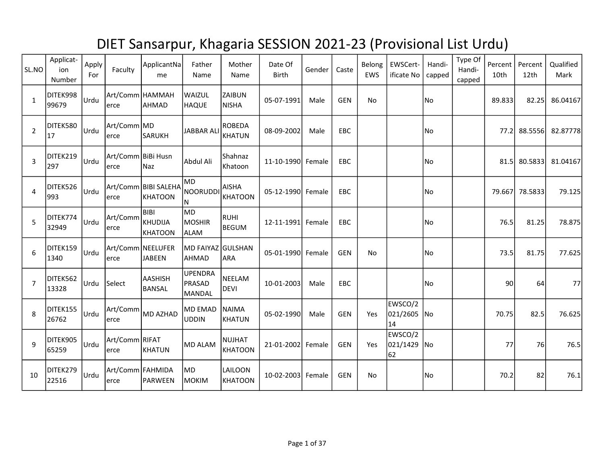## DIET Sansarpur, Khagaria SESSION 2021-23 (Provisional List Urdu)

| SL.NO          | Applicat-<br>ion<br>Number | Apply<br>For | Faculty                     | ApplicantNa<br>me                  | Father<br>Name                            | Mother<br>Name                  | Date Of<br><b>Birth</b> | Gender | Caste      | Belong<br><b>EWS</b> | EWSCert-<br>ificate No       | Handi-<br>capped | Type Of<br>Handi-<br>capped | Percent<br>10th | Percent<br>12th | Qualified<br>Mark |
|----------------|----------------------------|--------------|-----------------------------|------------------------------------|-------------------------------------------|---------------------------------|-------------------------|--------|------------|----------------------|------------------------------|------------------|-----------------------------|-----------------|-----------------|-------------------|
| $\mathbf{1}$   | DITEK998<br>99679          | Urdu         | lerce                       | Art/Comm HAMMAH<br>AHMAD           | WAIZUL<br><b>HAQUE</b>                    | ZAIBUN<br><b>NISHA</b>          | 05-07-1991              | Male   | <b>GEN</b> | No                   |                              | No               |                             | 89.833          | 82.25           | 86.04167          |
| $\overline{2}$ | DITEK580<br>17             | Urdu         | Art/Comm MD<br>erce         | SARUKH                             | <b>JABBAR ALI</b>                         | <b>ROBEDA</b><br>KHATUN         | 08-09-2002              | Male   | EBC        |                      |                              | No               |                             |                 | 77.2 88.5556    | 82.87778          |
| $\overline{3}$ | DITEK219<br>297            | Urdu         | Art/Comm BiBi Husn<br>erce  | Naz                                | Abdul Ali                                 | Shahnaz<br>Khatoon              | 11-10-1990 Female       |        | EBC        |                      |                              | No               |                             | 81.5            | 80.5833         | 81.04167          |
| 4              | DITEK526<br>993            | Urdu         | erce                        | Art/Comm BIBI SALEHA<br>KHATOON    | MD<br>NOORUDDI<br>N                       | <b>AISHA</b><br>KHATOON         | 05-12-1990 Female       |        | EBC        |                      |                              | No               |                             | 79.667          | 78.5833         | 79.125            |
| 5              | DITEK774<br>32949          | Urdu         | Art/Comm<br>lerce           | Ibibi<br>KHUDIJA<br>KHATOON        | <b>MD</b><br><b>MOSHIR</b><br><b>ALAM</b> | RUHI<br>BEGUM                   | 12-11-1991 Female       |        | EBC        |                      |                              | No               |                             | 76.5            | 81.25           | 78.875            |
| 6              | DITEK159<br>1340           | Urdu         | erce                        | Art/Comm NEELUFER<br><b>JABEEN</b> | MD FAIYAZ GULSHAN<br><b>AHMAD</b>         | <b>ARA</b>                      | 05-01-1990 Female       |        | <b>GEN</b> | No                   |                              | No               |                             | 73.5            | 81.75           | 77.625            |
| $\overline{7}$ | DITEK562<br>13328          | Urdu         | Select                      | AASHISH<br>BANSAL                  | <b>UPENDRA</b><br>PRASAD<br>MANDAL        | <b>NEELAM</b><br><b>DEVI</b>    | 10-01-2003              | Male   | EBC        |                      |                              | No               |                             | 90              | 64              | 77                |
| 8              | DITEK155<br>26762          | Urdu         | Art/Comm<br>erce            | MD AZHAD                           | <b>MD EMAD</b><br><b>UDDIN</b>            | <b>NAIMA</b><br><b>KHATUN</b>   | 05-02-1990              | Male   | <b>GEN</b> | Yes                  | EWSCO/2<br>021/2605 No<br>14 |                  |                             | 70.75           | 82.5            | 76.625            |
| 9              | DITEK905<br>65259          | Urdu         | Art/Comm RIFAT<br>erce      | KHATUN                             | MD ALAM                                   | <b>NUJHAT</b><br><b>KHATOON</b> | 21-01-2002 Female       |        | <b>GEN</b> | Yes                  | EWSCO/2<br>021/1429<br>62    | No               |                             | 77              | 76              | 76.5              |
| 10             | DITEK279<br>22516          | Urdu         | Art/Comm   FAHMIDA<br>lerce | PARWEEN                            | MD<br>MOKIM                               | LAILOON<br><b>KHATOON</b>       | 10-02-2003 Female       |        | <b>GEN</b> | No                   |                              | No               |                             | 70.2            | 82              | 76.1              |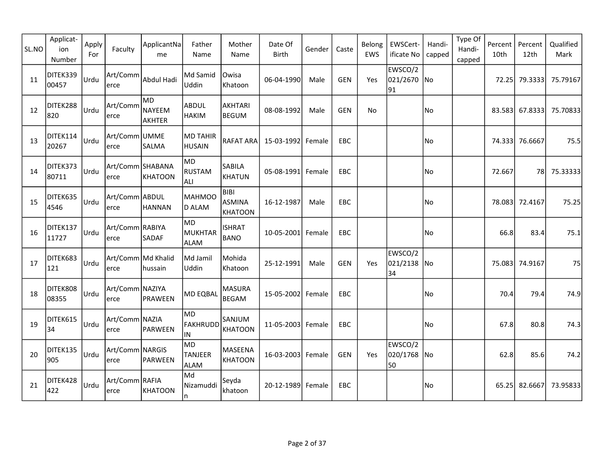| SL.NO | Applicat-<br>ion<br>Number | Apply<br>For | Faculty                    | ApplicantNa<br>me       | Father<br>Name                       | Mother<br>Name                                 | Date Of<br>Birth  | Gender | Caste      | Belong<br>EWS | EWSCert-<br>ificate No       | Handi-<br>capped | Type Of<br>Handi-<br>capped | Percent<br>10th | Percent<br>12th | Qualified<br>Mark |
|-------|----------------------------|--------------|----------------------------|-------------------------|--------------------------------------|------------------------------------------------|-------------------|--------|------------|---------------|------------------------------|------------------|-----------------------------|-----------------|-----------------|-------------------|
| 11    | DITEK339<br>00457          | Urdu         | Art/Comm<br>lerce          | Abdul Hadi              | Md Samid<br>Uddin                    | Owisa<br>Khatoon                               | 06-04-1990        | Male   | <b>GEN</b> | Yes           | EWSCO/2<br>021/2670 No<br>91 |                  |                             | 72.25           | 79.3333         | 75.79167          |
| 12    | DITEK288<br>820            | Urdu         | Art/Comm<br>lerce          | lmd<br>NAYEEM<br>AKHTER | ABDUL<br><b>HAKIM</b>                | <b>AKHTARI</b><br><b>BEGUM</b>                 | 08-08-1992        | Male   | <b>GEN</b> | No            |                              | No               |                             |                 | 83.583 67.8333  | 75.70833          |
| 13    | DITEK114<br>20267          | Urdu         | Art/Comm UMME<br>erce      | <b>SALMA</b>            | MD TAHIR<br><b>HUSAIN</b>            | RAFAT ARA                                      | 15-03-1992 Female |        | EBC        |               |                              | No               |                             |                 | 74.333 76.6667  | 75.5              |
| 14    | DITEK373<br>80711          | Urdu         | Art/Comm SHABANA<br>erce   | KHATOON                 | lMD.<br><b>RUSTAM</b><br><b>ALI</b>  | SABILA<br><b>KHATUN</b>                        | 05-08-1991 Female |        | EBC        |               |                              | No               |                             | 72.667          | 78              | 75.33333          |
| 15    | DITEK635<br>4546           | Urdu         | Art/Comm ABDUL<br>lerce    | <b>HANNAN</b>           | MAHMOO<br>D ALAM                     | <b>BIBI</b><br><b>ASMINA</b><br><b>KHATOON</b> | 16-12-1987        | Male   | EBC        |               |                              | No)              |                             |                 | 78.083 72.4167  | 75.25             |
| 16    | DITEK137<br>11727          | Urdu         | Art/Comm RABIYA<br>erce    | SADAF                   | MD<br>MUKHTAR<br><b>ALAM</b>         | <b>ISHRAT</b><br><b>BANO</b>                   | 10-05-2001 Female |        | <b>EBC</b> |               |                              | No)              |                             | 66.8            | 83.4            | 75.1              |
| 17    | DITEK683<br>121            | Urdu         | Art/Comm Md Khalid<br>erce | hussain                 | Md Jamil<br>Uddin                    | Mohida<br>Khatoon                              | 25-12-1991        | Male   | <b>GEN</b> | Yes           | EWSCO/2<br>021/2138 No<br>34 |                  |                             |                 | 75.083 74.9167  | 75                |
| 18    | DITEK808<br>08355          | Urdu         | Art/Comm NAZIYA<br>erce    | PRAWEEN                 | <b>MD EQBAL</b>                      | <b>MASURA</b><br><b>BEGAM</b>                  | 15-05-2002 Female |        | <b>EBC</b> |               |                              | No               |                             | 70.4            | 79.4            | 74.9              |
| 19    | DITEK615<br>34             | Urdu         | Art/Comm NAZIA <br>erce    | <b>PARWEEN</b>          | M <sub>D</sub><br>FAKHRUDD<br>IN.    | SANJUM<br><b>KHATOON</b>                       | 11-05-2003 Female |        | <b>EBC</b> |               |                              | No.              |                             | 67.8            | 80.8            | 74.3              |
| 20    | DITEK135<br>905            | Urdu         | Art/Comm NARGIS<br>lerce   | PARWEEN                 | MD <br><b>TANJEER</b><br><b>ALAM</b> | MASEENA<br><b>KHATOON</b>                      | 16-03-2003 Female |        | <b>GEN</b> | Yes           | EWSCO/2<br>020/1768<br>50    | lNo.             |                             | 62.8            | 85.6            | 74.2              |
| 21    | DITEK428<br>422            | Urdu         | Art/Comm RAFIA<br>lerce    | KHATOON                 | Md<br>Nizamuddi<br>n                 | Seyda<br>khatoon                               | 20-12-1989 Female |        | EBC        |               |                              | No               |                             | 65.25           | 82.6667         | 73.95833          |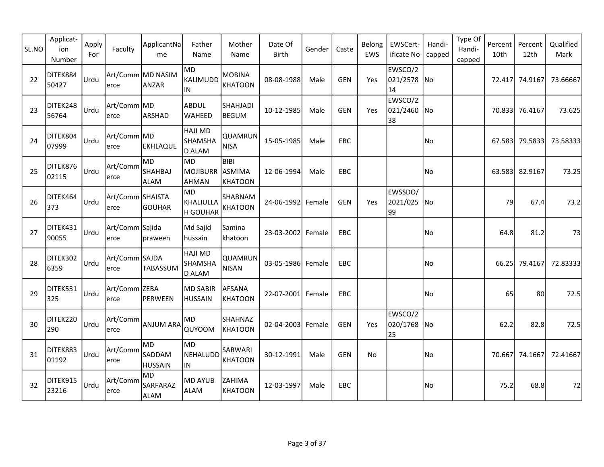| SL.NO | Applicat-<br>ion<br>Number | Apply<br>For | Faculty                  | ApplicantNa<br>me                    | Father<br>Name                                    | Mother<br>Name                          | Date Of<br><b>Birth</b> | Gender | Caste      | Belong<br><b>EWS</b> | EWSCert-<br>ificate No       | Handi-<br>capped | Type Of<br>Handi-<br>capped | Percent<br>10th | Percent<br>12th | Qualified<br>Mark |
|-------|----------------------------|--------------|--------------------------|--------------------------------------|---------------------------------------------------|-----------------------------------------|-------------------------|--------|------------|----------------------|------------------------------|------------------|-----------------------------|-----------------|-----------------|-------------------|
| 22    | DITEK884<br>50427          | Urdu         | erce                     | Art/Comm MD NASIM<br>ANZAR           | <b>MD</b><br>KALIMUDD<br>IN                       | <b>MOBINA</b><br><b>KHATOON</b>         | 08-08-1988              | Male   | <b>GEN</b> | Yes                  | EWSCO/2<br>021/2578 No<br>14 |                  |                             |                 | 72.417 74.9167  | 73.66667          |
| 23    | DITEK248<br>56764          | <b>Urdu</b>  | Art/Comm MD<br>erce      | ARSHAD                               | ABDUL<br><b>WAHEED</b>                            | SHAHJADI<br><b>BEGUM</b>                | 10-12-1985              | Male   | <b>GEN</b> | Yes                  | EWSCO/2<br>021/2460 No<br>38 |                  |                             |                 | 70.833 76.4167  | 73.625            |
| 24    | DITEK804<br>07999          | <b>Urdu</b>  | Art/Comm MD<br>erce      | <b>EKHLAQUE</b>                      | <b>HAJI MD</b><br><b>SHAMSHA</b><br>D ALAM        | QUAMRUN<br><b>NISA</b>                  | 15-05-1985              | Male   | EBC        |                      |                              | No               |                             |                 | 67.583 79.5833  | 73.58333          |
| 25    | DITEK876<br>02115          | <b>Urdu</b>  | Art/Comm<br>erce         | MD.<br><b>SHAHBAJ</b><br><b>ALAM</b> | <b>MD</b><br>MOJIBURR<br><b>AHMAN</b>             | <b>BIBI</b><br>ASMIMA<br><b>KHATOON</b> | 12-06-1994              | Male   | <b>EBC</b> |                      |                              | No               |                             | 63.583          | 82.9167         | 73.25             |
| 26    | DITEK464<br>373            | <b>Urdu</b>  | Art/Comm SHAISTA<br>erce | GOUHAR                               | MD<br>KHALIULLA<br><b>H GOUHAR</b>                | SHABNAM<br><b>KHATOON</b>               | 24-06-1992 Female       |        | GEN        | Yes                  | EWSSDO/<br>2021/025 No<br>99 |                  |                             | 79              | 67.4            | 73.2              |
| 27    | DITEK431<br>90055          | lurdu        | Art/Comm Sajida<br>erce  | praween                              | Md Sajid<br>hussain                               | Samina<br>khatoon                       | 23-03-2002 Female       |        | EBC        |                      |                              | No)              |                             | 64.8            | 81.2            | 73                |
| 28    | DITEK302<br>6359           | <b>Urdu</b>  | Art/Comm SAJDA<br>erce   | <b>TABASSUM</b>                      | <b>HAJI MD</b><br><b>SHAMSHA</b><br><b>D ALAM</b> | QUAMRUN<br><b>NISAN</b>                 | 03-05-1986 Female       |        | EBC        |                      |                              | No               |                             | 66.25           | 79.4167         | 72.83333          |
| 29    | DITEK531<br>325            | l∪rdu        | Art/Comm ZEBA<br>erce    | PERWEEN                              | <b>MD SABIR</b><br><b>HUSSAIN</b>                 | <b>AFSANA</b><br><b>KHATOON</b>         | 22-07-2001              | Female | <b>EBC</b> |                      |                              | No               |                             | 65              | 80              | 72.5              |
| 30    | DITEK220<br>290            | <b>Urdu</b>  | Art/Comm<br>erce         | <b>ANJUM ARA</b>                     | MD<br>QUYOOM                                      | <b>SHAHNAZ</b><br><b>KHATOON</b>        | 02-04-2003 Female       |        | <b>GEN</b> | Yes                  | EWSCO/2<br>020/1768 No<br>25 |                  |                             | 62.2            | 82.8            | 72.5              |
| 31    | DITEK883<br>01192          | Urdu         | Art/Comm<br>erce         | MD.<br>SADDAM<br><b>HUSSAIN</b>      | <b>MD</b><br>NEHALUDD<br>IN                       | SARWARI<br><b>KHATOON</b>               | 30-12-1991              | Male   | <b>GEN</b> | No                   |                              | No               |                             |                 | 70.667 74.1667  | 72.41667          |
| 32    | DITEK915<br>23216          | Urdu         | Art/Comm<br>erce         | MD)<br>SARFARAZ<br><b>ALAM</b>       | <b>MD AYUB</b><br><b>ALAM</b>                     | ZAHIMA<br><b>KHATOON</b>                | 12-03-1997              | Male   | EBC.       |                      |                              | No               |                             | 75.2            | 68.8            | 72                |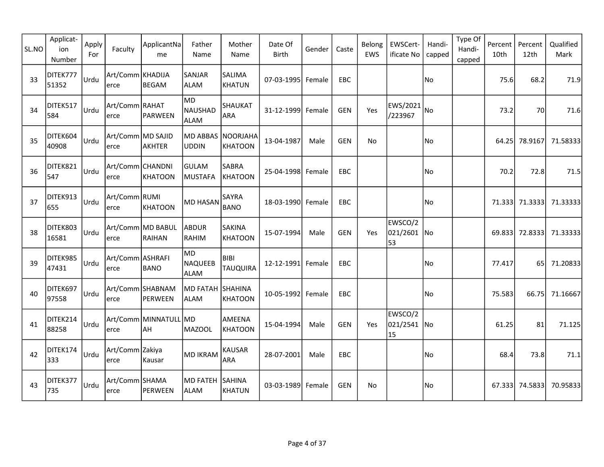| SL.NO | Applicat-<br>ion<br>Number | Apply<br>For | Faculty                   | ApplicantNa<br>me                  | Father<br>Name                       | Mother<br>Name                  | Date Of<br>Birth  | Gender | Caste      | Belong<br>EWS | EWSCert-<br>ificate No       | Handi-<br>capped | Type Of<br>Handi-<br>capped | Percent<br>10th | Percent<br>12th | Qualified<br>Mark |
|-------|----------------------------|--------------|---------------------------|------------------------------------|--------------------------------------|---------------------------------|-------------------|--------|------------|---------------|------------------------------|------------------|-----------------------------|-----------------|-----------------|-------------------|
| 33    | DITEK777<br>51352          | Urdu         | Art/Comm KHADIJA<br>erce  | BEGAM                              | SANJAR<br>ALAM                       | SALIMA<br><b>KHATUN</b>         | 07-03-1995 Female |        | EBC        |               |                              | No               |                             | 75.6            | 68.2            | 71.9              |
| 34    | DITEK517<br>584            | Urdu         | Art/Comm RAHAT <br>erce   | PARWEEN                            | <b>MD</b><br>NAUSHAD<br>ALAM         | SHAUKAT<br>ARA                  | 31-12-1999 Female |        | GEN        | Yes           | $ EWS/2021 _{NO}$<br>/223967 |                  |                             | 73.2            | 70              | 71.6              |
| 35    | DITEK604<br>40908          | Urdu         | Art/Comm MD SAJID<br>erce | AKHTER                             | MD ABBAS<br><b>UDDIN</b>             | NOORJAHA<br><b>KHATOON</b>      | 13-04-1987        | Male   | <b>GEN</b> | No            |                              | No               |                             | 64.25           | 78.9167         | 71.58333          |
| 36    | DITEK821<br>547            | Urdu         | Art/Comm CHANDNI<br>erce  | KHATOON                            | <b>GULAM</b><br>MUSTAFA              | <b>SABRA</b><br><b>KHATOON</b>  | 25-04-1998 Female |        | EBC        |               |                              | No)              |                             | 70.2            | 72.8            | 71.5              |
| 37    | DITEK913<br>655            | Urdu         | Art/Comm RUMI<br>erce     | KHATOON                            | <b>MD HASAN</b>                      | SAYRA<br><b>BANO</b>            | 18-03-1990 Female |        | EBC        |               |                              | No               |                             |                 | 71.333 71.3333  | 71.33333          |
| 38    | DITEK803<br>16581          | Urdu         | erce                      | Art/Comm MD BABUL<br>RAIHAN        | ABDUR<br>RAHIM                       | <b>SAKINA</b><br><b>KHATOON</b> | 15-07-1994        | Male   | <b>GEN</b> | Yes           | EWSCO/2<br>021/2601 No<br>53 |                  |                             | 69.833          | 72.8333         | 71.33333          |
| 39    | DITEK985<br>47431          | Urdu         | Art/Comm ASHRAFI<br>erce  | <b>BANO</b>                        | MD)<br><b>NAQUEEB</b><br><b>ALAM</b> | BIBI<br><b>TAUQUIRA</b>         | 12-12-1991 Female |        | EBC        |               |                              | No               |                             | 77.417          | 65 <sup> </sup> | 71.20833          |
| 40    | DITEK697<br>97558          | Urdu         | erce                      | Art/Comm SHABNAM<br>PERWEEN        | MD FATAH SHAHINA<br>ALAM             | <b>KHATOON</b>                  | 10-05-1992 Female |        | EBC        |               |                              | No               |                             | 75.583          | 66.75           | 71.16667          |
| 41    | DITEK214<br>88258          | Urdu         | erce                      | Art/Comm MINNATULL MD<br><b>AH</b> | MAZOOL                               | AMEENA<br><b>KHATOON</b>        | 15-04-1994        | Male   | <b>GEN</b> | Yes           | EWSCO/2<br>021/2541 No<br>15 |                  |                             | 61.25           | 81              | 71.125            |
| 42    | DITEK174<br>333            | Urdu         | Art/Comm Zakiya<br>erce   | Kausar                             | MD IKRAM                             | <b>KAUSAR</b><br><b>ARA</b>     | 28-07-2001        | Male   | EBC        |               |                              | No               |                             | 68.4            | 73.8            | 71.1              |
| 43    | DITEK377<br>735            | Urdu         | Art/Comm SHAMA<br>lerce   | PERWEEN                            | MD FATEH<br>ALAM                     | SAHINA<br><b>KHATUN</b>         | 03-03-1989 Female |        | <b>GEN</b> | <b>No</b>     |                              | No               |                             |                 | 67.333 74.5833  | 70.95833          |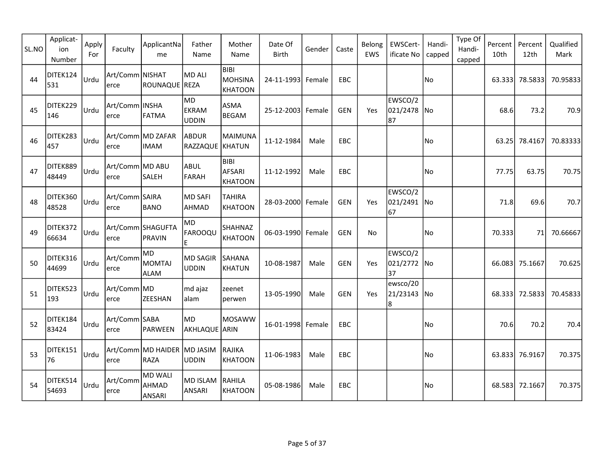| SL.NO | Applicat-<br>ion<br>Number | Apply<br>For | Faculty                 | ApplicantNa<br>me                    | Father<br>Name                       | Mother<br>Name                                  | Date Of<br>Birth  | Gender | Caste      | Belong<br>EWS | EWSCert-<br>ificate No       | Handi-<br>capped | Type Of<br>Handi-<br>capped | Percent<br>10th | Percent<br>12th | Qualified<br>Mark |
|-------|----------------------------|--------------|-------------------------|--------------------------------------|--------------------------------------|-------------------------------------------------|-------------------|--------|------------|---------------|------------------------------|------------------|-----------------------------|-----------------|-----------------|-------------------|
| 44    | DITEK124<br>531            | Urdu         | Art/Comm NISHAT<br>erce | ROUNAQUE REZA                        | MD ALI                               | <b>BIBI</b><br><b>MOHSINA</b><br><b>KHATOON</b> | 24-11-1993 Female |        | EBC        |               |                              | No.              |                             | 63.333          | 78.5833         | 70.95833          |
| 45    | DITEK229<br>146            | Urdu         | Art/Comm INSHA<br>erce  | FATMA                                | lmd.<br><b>EKRAM</b><br><b>UDDIN</b> | <b>ASMA</b><br><b>BEGAM</b>                     | 25-12-2003 Female |        | GEN        | Yes           | EWSCO/2<br>021/2478 No<br>87 |                  |                             | 68.6            | 73.2            | 70.9              |
| 46    | DITEK283<br>457            | Urdu         | erce                    | Art/Comm MD ZAFAR<br><b>IMAM</b>     | ABDUR<br>RAZZAQUE KHATUN             | <b>MAIMUNA</b>                                  | 11-12-1984        | Male   | EBC        |               |                              | No)              |                             | 63.25           | 78.4167         | 70.83333          |
| 47    | DITEK889<br>48449          | Urdu         | Art/Comm MD ABU<br>erce | <b>SALEH</b>                         | ABUL<br>FARAH                        | <b>BIBI</b><br><b>AFSARI</b><br><b>KHATOON</b>  | 11-12-1992        | Male   | <b>EBC</b> |               |                              | No)              |                             | 77.75           | 63.75           | 70.75             |
| 48    | DITEK360<br>48528          | Urdu         | Art/Comm SAIRA<br>erce  | <b>BANO</b>                          | <b>MD SAFI</b><br>AHMAD              | <b>TAHIRA</b><br><b>KHATOON</b>                 | 28-03-2000 Female |        | <b>GEN</b> | Yes           | EWSCO/2<br>021/2491 No<br>67 |                  |                             | 71.8            | 69.6            | 70.7              |
| 49    | DITEK372<br>66634          | Urdu         | erce                    | Art/Comm SHAGUFTA<br>PRAVIN          | <b>MD</b><br>FAROOQU<br>E            | SHAHNAZ<br><b>KHATOON</b>                       | 06-03-1990 Female |        | <b>GEN</b> | <b>No</b>     |                              | lNo              |                             | 70.333          | 71              | 70.66667          |
| 50    | DITEK316<br>44699          | Urdu         | Art/Comm<br>erce        | MD<br><b>MOMTAJ</b><br>ALAM          | MD SAGIR<br><b>UDDIN</b>             | <b>SAHANA</b><br>KHATUN                         | 10-08-1987        | Male   | <b>GEN</b> | Yes           | EWSCO/2<br>021/2772 No<br>37 |                  |                             | 66.083          | 75.1667         | 70.625            |
| 51    | DITEK523<br>193            | Urdu         | Art/Comm MD<br>erce     | <b>ZEESHAN</b>                       | md ajaz<br>alam                      | zeenet<br>perwen                                | 13-05-1990        | Male   | <b>GEN</b> | Yes           | ewsco/20<br>21/23143 No<br>8 |                  |                             |                 | 68.333 72.5833  | 70.45833          |
| 52    | DITEK184<br>83424          | Urdu         | Art/Comm SABA<br>erce   | PARWEEN                              | <b>MD</b><br>AKHLAQUE ARIN           | <b>MOSAWW</b>                                   | 16-01-1998 Female |        | EBC        |               |                              | No               |                             | 70.6            | 70.2            | 70.4              |
| 53    | DITEK151<br>76             | Urdu         | erce                    | Art/Comm MD HAIDER  MD JASIM<br>RAZA | <b>UDDIN</b>                         | RAJIKA<br><b>KHATOON</b>                        | 11-06-1983        | Male   | EBC        |               |                              | No.              |                             |                 | 63.833 76.9167  | 70.375            |
| 54    | DITEK514<br>54693          | Urdu         | Art/Comm<br>erce        | MD WALI<br>AHMAD<br>ANSARI           | MD ISLAM<br>ANSARI                   | RAHILA<br><b>KHATOON</b>                        | 05-08-1986        | Male   | EBC        |               |                              | No               |                             | 68.583          | 72.1667         | 70.375            |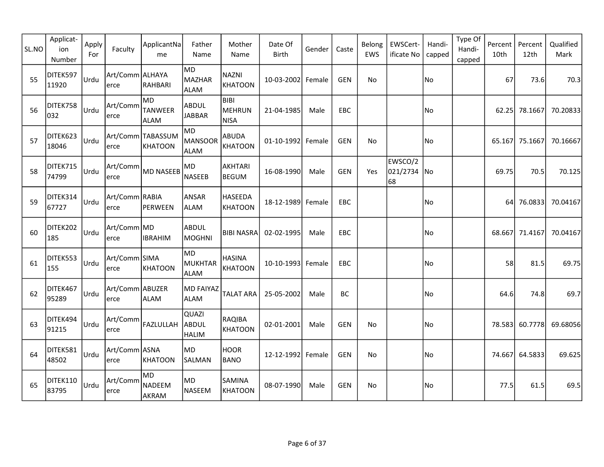| SL.NO | Applicat-<br>ion<br>Number | Apply<br>For | Faculty                  | ApplicantNa<br>me                     | Father<br>Name                      | Mother<br>Name                       | Date Of<br><b>Birth</b> | Gender | Caste      | Belong<br>EWS | EWSCert-<br>ificate No       | Handi-<br>capped | Type Of<br>Handi-<br>capped | Percent<br>10th | Percent<br>12th | Qualified<br>Mark |
|-------|----------------------------|--------------|--------------------------|---------------------------------------|-------------------------------------|--------------------------------------|-------------------------|--------|------------|---------------|------------------------------|------------------|-----------------------------|-----------------|-----------------|-------------------|
| 55    | DITEK597<br>11920          | Urdu         | Art/Comm ALHAYA<br>lerce | RAHBARI                               | MD<br>MAZHAR<br><b>ALAM</b>         | <b>NAZNI</b><br><b>KHATOON</b>       | 10-03-2002 Female       |        | <b>GEN</b> | No            |                              | No               |                             | 67              | 73.6            | 70.3              |
| 56    | DITEK758<br>032            | <b>Urdu</b>  | Art/Comm<br>erce         | lmd.<br><b>TANWEER</b><br><b>ALAM</b> | <b>ABDUL</b><br><b>JABBAR</b>       | <b>BIBI</b><br>MEHRUN<br><b>NISA</b> | 21-04-1985              | Male   | EBC        |               |                              | No               |                             | 62.25           | 78.1667         | 70.20833          |
| 57    | DITEK623<br>18046          | <b>Urdu</b>  | erce                     | Art/Comm TABASSUM<br>KHATOON          | <b>MD</b><br>MANSOOR<br><b>ALAM</b> | <b>ABUDA</b><br><b>KHATOON</b>       | 01-10-1992 Female       |        | <b>GEN</b> | No            |                              | No               |                             |                 | 65.167 75.1667  | 70.16667          |
| 58    | DITEK715<br>74799          | Urdu         | Art/Comm<br>erce         | MD NASEEB                             | MD<br><b>NASEEB</b>                 | <b>AKHTARI</b><br><b>BEGUM</b>       | 16-08-1990              | Male   | <b>GEN</b> | Yes           | EWSCO/2<br>021/2734 No<br>68 |                  |                             | 69.75           | 70.5            | 70.125            |
| 59    | DITEK314<br>67727          | Urdu         | Art/Comm RABIA<br>erce   | PERWEEN                               | <b>ANSAR</b><br><b>ALAM</b>         | <b>HASEEDA</b><br><b>KHATOON</b>     | 18-12-1989 Female       |        | EBC        |               |                              | No)              |                             | 64              | 76.0833         | 70.04167          |
| 60    | DITEK202<br>185            | lurdu        | Art/Comm MD<br>erce      | <b>IBRAHIM</b>                        | <b>ABDUL</b><br>MOGHNI              | <b>BIBI NASRA</b>                    | 02-02-1995              | Male   | <b>EBC</b> |               |                              | No)              |                             |                 | 68.667 71.4167  | 70.04167          |
| 61    | DITEK553<br>155            | <b>Urdu</b>  | Art/Comm SIMA<br>erce    | KHATOON                               | lMD.<br>MUKHTAR<br><b>ALAM</b>      | <b>HASINA</b><br><b>KHATOON</b>      | 10-10-1993 Female       |        | EBC        |               |                              | No               |                             | 58              | 81.5            | 69.75             |
| 62    | DITEK467<br>95289          | Urdu         | Art/Comm ABUZER<br>erce  | <b>ALAM</b>                           | <b>MD FAIYAZ</b><br><b>ALAM</b>     | <b>TALAT ARA</b>                     | 25-05-2002              | Male   | <b>BC</b>  |               |                              | No               |                             | 64.6            | 74.8            | 69.7              |
| 63    | DITEK494<br>91215          | Urdu         | Art/Comm<br>erce         | FAZLULLAH ABDUL                       | QUAZI<br><b>HALIM</b>               | <b>RAQIBA</b><br><b>KHATOON</b>      | 02-01-2001              | Male   | <b>GEN</b> | No            |                              | No               |                             |                 | 78.583 60.7778  | 69.68056          |
| 64    | DITEK581<br>48502          | Urdu         | Art/Comm ASNA<br>lerce   | KHATOON                               | MD<br><b>SALMAN</b>                 | <b>HOOR</b><br><b>BANO</b>           | 12-12-1992 Female       |        | GEN        | No            |                              | No               |                             |                 | 74.667 64.5833  | 69.625            |
| 65    | DITEK110<br>83795          | <b>Urdu</b>  | Art/Comm<br>erce         | MD.<br>NADEEM<br>AKRAM                | MD<br>NASEEM                        | SAMINA<br>KHATOON                    | 08-07-1990              | Male   | <b>GEN</b> | No            |                              | No               |                             | 77.5            | 61.5            | 69.5              |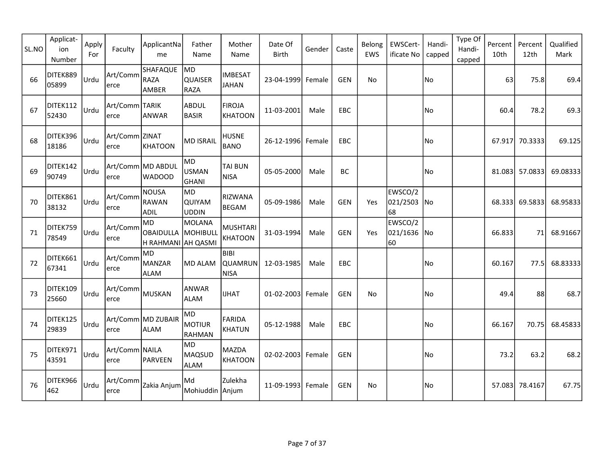| SL.NO | Applicat-<br>ion<br>Number | Apply<br>For | Faculty                 | ApplicantNa<br>me                                 | Father<br>Name                             | Mother<br>Name                        | Date Of<br><b>Birth</b> | Gender | Caste      | Belong<br>EWS | EWSCert-<br>ificate No       | Handi-<br>capped | Type Of<br>Handi-<br>capped | Percent<br>10th | Percent<br>12th | Qualified<br>Mark |
|-------|----------------------------|--------------|-------------------------|---------------------------------------------------|--------------------------------------------|---------------------------------------|-------------------------|--------|------------|---------------|------------------------------|------------------|-----------------------------|-----------------|-----------------|-------------------|
| 66    | DITEK889<br>05899          | <b>Urdu</b>  | Art/Comm<br>erce        | SHAFAQUE<br>RAZA<br>AMBER                         | MD<br><b>QUAISER</b><br>RAZA               | <b>IMBESAT</b><br><b>JAHAN</b>        | 23-04-1999 Female       |        | <b>GEN</b> | No            |                              | No               |                             | 63              | 75.8            | 69.4              |
| 67    | DITEK112<br>52430          | <b>Urdu</b>  | Art/Comm TARIK<br>erce  | ANWAR                                             | ABDUL<br><b>BASIR</b>                      | <b>FIROJA</b><br>KHATOON              | 11-03-2001              | Male   | EBC        |               |                              | No               |                             | 60.4            | 78.2            | 69.3              |
| 68    | DITEK396<br>18186          | <b>Urdu</b>  | Art/Comm ZINAT<br>erce  | KHATOON                                           | <b>MD ISRAIL</b>                           | <b>HUSNE</b><br><b>BANO</b>           | 26-12-1996              | Female | EBC        |               |                              | No               |                             | 67.917          | 70.3333         | 69.125            |
| 69    | DITEK142<br>90749          | <b>Urdu</b>  | erce                    | Art/Comm MD ABDUL<br><b>WADOOD</b>                | <b>MD</b><br><b>USMAN</b><br>GHANI         | TAI BUN<br><b>NISA</b>                | 05-05-2000              | Male   | BC         |               |                              | No               |                             | 81.083          | 57.0833         | 69.08333          |
| 70    | DITEK861<br>38132          | Urdu         | Art/Comm<br>erce        | <b>NOUSA</b><br><b>RAWAN</b><br><b>ADIL</b>       | <b>MD</b><br><b>QUIYAM</b><br><b>UDDIN</b> | <b>RIZWANA</b><br><b>BEGAM</b>        | 05-09-1986              | Male   | <b>GEN</b> | Yes           | EWSCO/2<br>021/2503 No<br>68 |                  |                             | 68.333          | 69.5833         | 68.95833          |
| 71    | DITEK759<br>78549          | <b>Urdu</b>  | Art/Comm<br>erce        | lmd.<br>OBAIDULLA  MOHIBULL<br>H RAHMANI AH QASMI | MOLANA                                     | <b>MUSHTARI</b><br><b>KHATOON</b>     | 31-03-1994              | Male   | <b>GEN</b> | Yes           | EWSCO/2<br>021/1636 No<br>60 |                  |                             | 66.833          | 71              | 68.91667          |
| 72    | DITEK661<br>67341          | l∪rdu        | Art/Comm<br>erce        | MD.<br>MANZAR<br><b>ALAM</b>                      | MD ALAM                                    | <b>BIBI</b><br>QUAMRUN<br><b>NISA</b> | 12-03-1985              | Male   | EBC        |               |                              | No               |                             | 60.167          | 77.5I           | 68.83333          |
| 73    | DITEK109<br>25660          | lUrdu        | Art/Comm<br>erce        | MUSKAN                                            | ANWAR<br><b>ALAM</b>                       | <b>IJHAT</b>                          | 01-02-2003 Female       |        | <b>GEN</b> | No            |                              | l No             |                             | 49.4            | 88              | 68.7              |
| 74    | DITEK125<br>29839          | Urdu         | erce                    | Art/Comm MD ZUBAIR<br>ALAM                        | <b>MD</b><br>MOTIUR<br><b>RAHMAN</b>       | <b>FARIDA</b><br><b>KHATUN</b>        | 05-12-1988              | Male   | EBC        |               |                              | No               |                             | 66.167          | 70.75           | 68.45833          |
| 75    | DITEK971<br>43591          | <b>Urdu</b>  | Art/Comm NAILA<br>lerce | PARVEEN                                           | <b>MD</b><br>MAQSUD<br><b>ALAM</b>         | <b>MAZDA</b><br>KHATOON               | 02-02-2003 Female       |        | GEN        |               |                              | No               |                             | 73.2            | 63.2            | 68.2              |
| 76    | DITEK966<br>462            | <b>Urdu</b>  | Art/Comm<br>erce        | Zakia Anjum                                       | Md<br>Mohiuddin Anjum                      | Zulekha                               | 11-09-1993 Female       |        | <b>GEN</b> | No            |                              | No               |                             | 57.083          | 78.4167         | 67.75             |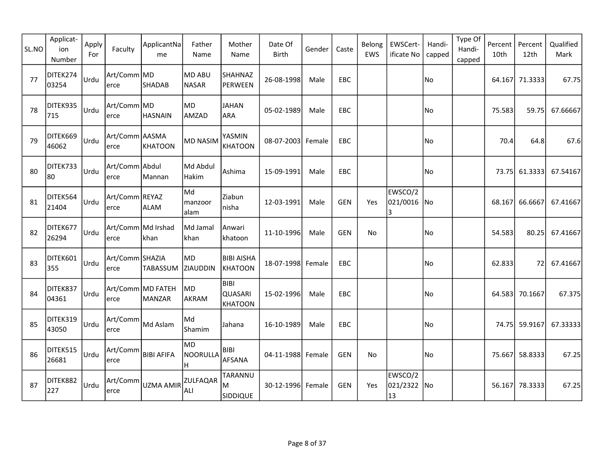| SL.NO | Applicat-<br>ion<br>Number | Apply<br>For | Faculty                    | ApplicantNa<br>me           | Father<br>Name                | Mother<br>Name                           | Date Of<br><b>Birth</b> | Gender | Caste      | Belong<br>EWS | EWSCert-<br>ificate No       | Handi-<br>capped | Type Of<br>Handi-<br>capped | Percent<br>10th | Percent<br>12th | Qualified<br>Mark |
|-------|----------------------------|--------------|----------------------------|-----------------------------|-------------------------------|------------------------------------------|-------------------------|--------|------------|---------------|------------------------------|------------------|-----------------------------|-----------------|-----------------|-------------------|
| 77    | DITEK274<br>03254          | Urdu         | Art/Comm MD<br>erce        | SHADAB                      | <b>MD ABU</b><br><b>NASAR</b> | SHAHNAZ<br>PERWEEN                       | 26-08-1998              | Male   | EBC        |               |                              | No               |                             |                 | 64.167 71.3333  | 67.75             |
| 78    | DITEK935<br>715            | <u> Urdu</u> | Art/Comm MD<br>erce        | <b>HASNAIN</b>              | MD<br>AMZAD                   | <b>JAHAN</b><br><b>ARA</b>               | 05-02-1989              | Male   | EBC        |               |                              | No               |                             | 75.583          | 59.75           | 67.66667          |
| 79    | DITEK669<br>46062          | <b>Urdu</b>  | Art/Comm AASMA<br>erce     | KHATOON                     | <b>MD NASIM</b>               | YASMIN<br><b>KHATOON</b>                 | 08-07-2003              | Female | <b>EBC</b> |               |                              | No               |                             | 70.4            | 64.8            | 67.6              |
| 80    | DITEK733<br>80             | Urdu         | Art/Comm Abdul<br>erce     | Mannan                      | Md Abdul<br>Hakim             | Ashima                                   | 15-09-1991              | Male   | EBC        |               |                              | No               |                             | 73.75           | 61.3333         | 67.54167          |
| 81    | DITEK564<br>21404          | Urdu         | Art/Comm REYAZ<br>erce     | <b>ALAM</b>                 | Md<br>manzoor<br>alam         | Ziabun<br>nisha                          | 12-03-1991              | Male   | <b>GEN</b> | Yes           | EWSCO/2<br>021/0016 No<br>3  |                  |                             | 68.167          | 66.6667         | 67.41667          |
| 82    | DITEK677<br>26294          | lurdu        | Art/Comm Md Irshad<br>erce | khan                        | Md Jamal<br>khan              | Anwari<br>khatoon                        | 11-10-1996              | Male   | <b>GEN</b> | No            |                              | No)              |                             | 54.583          | 80.25           | 67.41667          |
| 83    | DITEK601<br>355            | lUrdu        | Art/Comm SHAZIA<br>erce    | TABASSUM ZIAUDDIN           | MD                            | <b>BIBI AISHA</b><br><b>KHATOON</b>      | 18-07-1998 Female       |        | EBC        |               |                              | No               |                             | 62.833          | 72I             | 67.41667          |
| 84    | DITEK837<br>04361          | Urdu         | erce                       | Art/Comm MD FATEH<br>MANZAR | MD <br>AKRAM                  | <b>BIBI</b><br>QUASARI<br><b>KHATOON</b> | 15-02-1996              | Male   | <b>EBC</b> |               |                              | No               |                             |                 | 64.583 70.1667  | 67.375            |
| 85    | DITEK319<br>43050          | Urdu         | Art/Comm<br>erce           | Md Aslam                    | Md<br>Shamim                  | Jahana                                   | 16-10-1989              | Male   | EBC        |               |                              | No               |                             |                 | 74.75 59.9167   | 67.33333          |
| 86    | DITEK515<br>26681          | Urdu         | Art/Comm<br>erce           | <b>BIBI AFIFA</b>           | MD<br>NOORULLA<br>H           | <b>BIBI</b><br><b>AFSANA</b>             | 04-11-1988 Female       |        | GEN        | No            |                              | No               |                             |                 | 75.667 58.8333  | 67.25             |
| 87    | DITEK882<br>227            | <b>Urdu</b>  | erce                       | Art/Comm UZMA AMIR          | <b>ZULFAQAR</b><br>ALI        | TARANNU<br>M<br><b>SIDDIQUE</b>          | 30-12-1996 Female       |        | <b>GEN</b> | Yes           | EWSCO/2<br>021/2322 No<br>13 |                  |                             |                 | 56.167 78.3333  | 67.25             |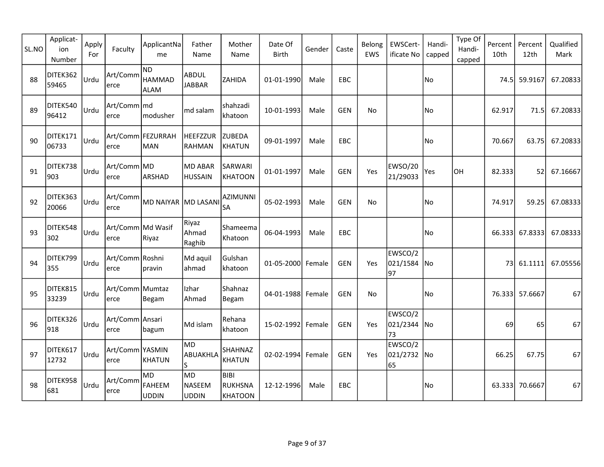| SL.NO | Applicat-<br>ion<br>Number | Apply<br>For | Faculty                   | ApplicantNa<br>me                    | Father<br>Name                   | Mother<br>Name                                  | Date Of<br>Birth  | Gender | Caste      | Belong<br>EWS | EWSCert-<br>ificate No         | Handi-<br>capped | Type Of<br>Handi-<br>capped | Percent<br>10th | Percent<br>12th | Qualified<br>Mark |
|-------|----------------------------|--------------|---------------------------|--------------------------------------|----------------------------------|-------------------------------------------------|-------------------|--------|------------|---------------|--------------------------------|------------------|-----------------------------|-----------------|-----------------|-------------------|
| 88    | DITEK362<br>59465          | Urdu         | Art/Comm<br>erce          | ND)<br><b>HAMMAD</b><br><b>ALAM</b>  | <b>ABDUL</b><br><b>JABBAR</b>    | ZAHIDA                                          | 01-01-1990        | Male   | EBC        |               |                                | No               |                             | 74.5l           | 59.9167         | 67.20833          |
| 89    | DITEK540<br>96412          | Urdu         | Art/Comm   md<br>erce     | modusher                             | md salam                         | shahzadi<br>khatoon                             | 10-01-1993        | Male   | <b>GEN</b> | No            |                                | No               |                             | 62.917          | 71.5            | 67.20833          |
| 90    | DITEK171<br>06733          | l∪rdu        | erce                      | Art/Comm   FEZURRAH<br>MAN           | HEEFZZUR<br>RAHMAN               | <b>ZUBEDA</b><br><b>KHATUN</b>                  | 09-01-1997        | Male   | <b>EBC</b> |               |                                | No               |                             | 70.667          | 63.75           | 67.20833          |
| 91    | DITEK738<br>903            | Urdu         | Art/Comm MD<br>erce       | ARSHAD                               | <b>MD ABAR</b><br><b>HUSSAIN</b> | SARWARI<br><b>KHATOON</b>                       | 01-01-1997        | Male   | <b>GEN</b> | Yes           | <b>EWSO/20</b><br>21/29033     | Yes              | <b>OH</b>                   | 82.333          | 52 <sub>l</sub> | 67.16667          |
| 92    | DITEK363<br>20066          | Urdu         | Art/Comm<br>erce          | MD NAIYAR MD LASANI                  |                                  | <b>AZIMUNNI</b><br><b>SA</b>                    | 05-02-1993        | Male   | <b>GEN</b> | No            |                                | No)              |                             | 74.917          | 59.25           | 67.08333          |
| 93    | DITEK548<br>302            | <b>Urdu</b>  | Art/Comm Md Wasif<br>erce | Riyaz                                | Riyaz<br>Ahmad<br>Raghib         | Shameema<br>Khatoon                             | 06-04-1993        | Male   | EBC        |               |                                | No)              |                             | 66.333          | 67.8333         | 67.08333          |
| 94    | DITEK799<br>355            | <b>Urdu</b>  | Art/Comm Roshni<br>erce   | pravin                               | Md aquil<br>ahmad                | Gulshan<br>khatoon                              | 01-05-2000 Female |        | <b>GEN</b> | Yes           | EWSCO/2<br>021/1584 No<br>97   |                  |                             |                 | 73 61.1111      | 67.05556          |
| 95    | DITEK815<br>33239          | lUrdu        | Art/Comm Mumtaz<br>erce   | Begam                                | Izhar<br>Ahmad                   | Shahnaz<br>Begam                                | 04-01-1988 Female |        | <b>GEN</b> | No            |                                | No               |                             |                 | 76.333 57.6667  | 67                |
| 96    | DITEK326<br>918            | <b>Urdu</b>  | Art/Comm Ansari<br>erce   | bagum                                | Md islam                         | Rehana<br>khatoon                               | 15-02-1992 Female |        | <b>GEN</b> | Yes           | EWSCO/2<br> 021/2344  No<br>73 |                  |                             | 69              | 65              | 67                |
| 97    | DITEK617<br>12732          | Urdu         | Art/Comm YASMIN<br>erce   | KHATUN                               | <b>MD</b><br>ABUAKHLA<br>ls.     | <b>SHAHNAZ</b><br><b>KHATUN</b>                 | 02-02-1994 Female |        | <b>GEN</b> | Yes           | EWSCO/2<br>021/2732 No<br>65   |                  |                             | 66.25           | 67.75           | 67                |
| 98    | DITEK958<br>681            | <b>Urdu</b>  | Art/Comm<br>erce          | MD.<br><b>FAHEEM</b><br><b>UDDIN</b> | MD<br>NASEEM<br><b>UDDIN</b>     | <b>BIBI</b><br><b>RUKHSNA</b><br><b>KHATOON</b> | 12-12-1996        | Male   | EBC        |               |                                | No               |                             | 63.333          | 70.6667         | 67                |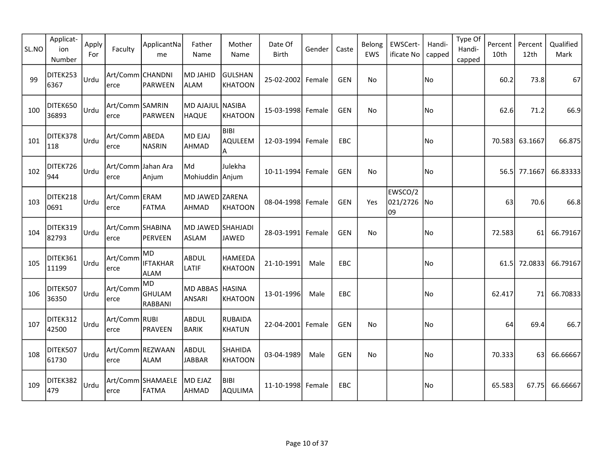| SL.NO | Applicat-<br>ion<br>Number | Apply<br>For | Faculty                    | ApplicantNa<br>me                     | Father<br>Name                    | Mother<br>Name                     | Date Of<br><b>Birth</b> | Gender | Caste      | Belong<br>EWS | EWSCert-<br>ificate No       | Handi-<br>capped | Type Of<br>Handi-<br>capped | Percent<br>10th | Percent<br>12th | Qualified<br>Mark |
|-------|----------------------------|--------------|----------------------------|---------------------------------------|-----------------------------------|------------------------------------|-------------------------|--------|------------|---------------|------------------------------|------------------|-----------------------------|-----------------|-----------------|-------------------|
| 99    | DITEK253<br>6367           | Urdu         | Art/Comm CHANDNI<br>erce   | PARWEEN                               | <b>MD JAHID</b><br>ALAM           | <b>GULSHAN</b><br><b>KHATOON</b>   | 25-02-2002 Female       |        | <b>GEN</b> | No            |                              | No               |                             | 60.2            | 73.8            | 67                |
| 100   | DITEK650<br>36893          | Urdu         | Art/Comm SAMRIN<br>erce    | PARWEEN                               | MD AJAJUL NASIBA<br><b>HAQUE</b>  | <b>KHATOON</b>                     | 15-03-1998 Female       |        | <b>GEN</b> | No            |                              | No               |                             | 62.6            | 71.2            | 66.9              |
| 101   | DITEK378<br>118            | Urdu         | Art/Comm ABEDA<br>erce     | NASRIN                                | MD EJAJ<br>AHMAD                  | <b>BIBI</b><br><b>AQULEEM</b><br>A | 12-03-1994 Female       |        | EBC        |               |                              | No)              |                             | 70.583          | 63.1667         | 66.875            |
| 102   | DITEK726<br>944            | Urdu         | Art/Comm Jahan Ara<br>erce | Anjum                                 | lMd<br>Mohiuddin Anjum            | Julekha                            | 10-11-1994 Female       |        | <b>GEN</b> | No            |                              | No               |                             | 56.5            | 77.1667         | 66.83333          |
| 103   | DITEK218<br>0691           | Urdu         | Art/Comm ERAM<br>erce      | FATMA                                 | MD JAWED ZARENA<br><b>AHMAD</b>   | <b>KHATOON</b>                     | 08-04-1998 Female       |        | <b>GEN</b> | Yes           | EWSCO/2<br>021/2726 No<br>09 |                  |                             | 63              | 70.6            | 66.8              |
| 104   | DITEK319<br>82793          | Urdu         | Art/Comm SHABINA<br>erce   | PERVEEN                               | MD JAWED SHAHJADI<br><b>ASLAM</b> | <b>JAWED</b>                       | 28-03-1991              | Female | <b>GEN</b> | No            |                              | No)              |                             | 72.583          | 61              | 66.79167          |
| 105   | DITEK361<br>11199          | Urdu         | Art/Comm<br>erce           | MD<br><b>IFTAKHAR</b><br><b>ALAM</b>  | <b>ABDUL</b><br>LATIF             | <b>HAMEEDA</b><br><b>KHATOON</b>   | 21-10-1991              | Male   | EBC        |               |                              | No               |                             | 61.5            | 72.0833         | 66.79167          |
| 106   | DITEK507<br>36350          | Urdu         | Art/Comm<br>erce           | MD<br><b>GHULAM</b><br><b>RABBANI</b> | MD ABBAS HASINA<br><b>ANSARI</b>  | <b>KHATOON</b>                     | 13-01-1996              | Male   | EBC        |               |                              | No)              |                             | 62.417          | 71              | 66.70833          |
| 107   | DITEK312<br>42500          | Urdu         | Art/Comm RUBI<br>erce      | PRAVEEN                               | <b>ABDUL</b><br>BARIK             | <b>RUBAIDA</b><br><b>KHATUN</b>    | 22-04-2001              | Female | <b>GEN</b> | No            |                              | No               |                             | 64              | 69.4            | 66.7              |
| 108   | DITEK507<br>61730          | Urdu         | Art/Comm REZWAAN<br>erce   | <b>ALAM</b>                           | ABDUL<br><b>JABBAR</b>            | <b>SHAHIDA</b><br><b>KHATOON</b>   | 03-04-1989              | Male   | <b>GEN</b> | No            |                              | No               |                             | 70.333          | 63              | 66.66667          |
| 109   | DITEK382<br>479            | Urdu         | erce                       | Art/Comm SHAMAELE<br>FATMA            | MD EJAZ<br>AHMAD                  | <b>BIBI</b><br><b>AQULIMA</b>      | 11-10-1998 Female       |        | EBC        |               |                              | No)              |                             | 65.583          | 67.75           | 66.66667          |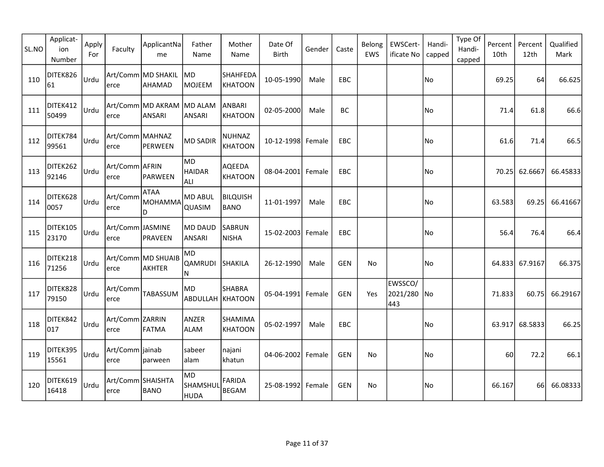| SL.NO | Applicat-<br>ion<br>Number | Apply<br>For | Faculty                    | ApplicantNa<br>me             | Father<br>Name                  | Mother<br>Name                  | Date Of<br>Birth  | Gender | Caste      | Belong<br>EWS | EWSCert-<br>ificate No        | Handi-<br>capped | Type Of<br>Handi-<br>capped | Percent<br>10th | Percent<br>12th | Qualified<br>Mark |
|-------|----------------------------|--------------|----------------------------|-------------------------------|---------------------------------|---------------------------------|-------------------|--------|------------|---------------|-------------------------------|------------------|-----------------------------|-----------------|-----------------|-------------------|
| 110   | DITEK826<br>61             | Urdu         | lerce                      | Art/Comm MD SHAKIL<br>AHAMAD  | MD.<br>MOJEEM                   | SHAHFEDA<br><b>KHATOON</b>      | 10-05-1990        | Male   | <b>EBC</b> |               |                               | No               |                             | 69.25           | 64              | 66.625            |
| 111   | DITEK412<br>50499          | Urdu         | lerce                      | Art/Comm MD AKRAM<br>ANSARI   | MD ALAM<br>ANSARI               | <b>ANBARI</b><br><b>KHATOON</b> | 02-05-2000        | Male   | BC         |               |                               | No               |                             | 71.4            | 61.8            | 66.6              |
| 112   | DITEK784<br>99561          | Urdu         | Art/Comm MAHNAZ<br>lerce   | PERWEEN                       | <b>MD SADIR</b>                 | <b>NUHNAZ</b><br><b>KHATOON</b> | 10-12-1998 Female |        | EBC        |               |                               | No)              |                             | 61.6            | 71.4            | 66.5              |
| 113   | DITEK262<br>92146          | Urdu         | Art/Comm AFRIN<br>erce     | PARWEEN                       | MD<br><b>HAIDAR</b><br>ALI.     | AQEEDA<br><b>KHATOON</b>        | 08-04-2001 Female |        | EBC        |               |                               | No               |                             | 70.25           | 62.6667         | 66.45833          |
| 114   | DITEK628<br>0057           | Urdu         | Art/Comm<br>erce           | <b>ATAA</b><br>MOHAMMA<br>ID. | <b>MD ABUL</b><br><b>QUASIM</b> | <b>BILQUISH</b><br><b>BANO</b>  | 11-01-1997        | Male   | EBC        |               |                               | No               |                             | 63.583          | 69.25           | 66.41667          |
| 115   | DITEK105<br>23170          | Urdu         | Art/Comm JASMINE<br>erce   | PRAVEEN                       | MD DAUD<br>ANSARI               | SABRUN<br><b>NISHA</b>          | 15-02-2003 Female |        | EBC.       |               |                               | No               |                             | 56.4            | 76.4            | 66.4              |
| 116   | DITEK218<br>71256          | Urdu         | erce                       | Art/Comm MD SHUAIB<br>AKHTER  | MD<br>QAMRUDI<br>N              | SHAKILA                         | 26-12-1990        | Male   | <b>GEN</b> | No            |                               | No.              |                             |                 | 64.833 67.9167  | 66.375            |
| 117   | DITEK828<br>79150          | Urdu         | Art/Comm<br>erce           | TABASSUM                      | MD<br><b>ABDULLAH KHATOON</b>   | <b>SHABRA</b>                   | 05-04-1991 Female |        | <b>GEN</b> | Yes           | EWSSCO/<br>2021/280 No<br>443 |                  |                             | 71.833          | 60.75           | 66.29167          |
| 118   | DITEK842<br>017            | Urdu         | Art/Comm ZARRIN<br>lerce   | FATMA                         | ANZER<br><b>ALAM</b>            | SHAMIMA<br><b>KHATOON</b>       | 05-02-1997        | Male   | EBC        |               |                               | No               |                             |                 | 63.917 68.5833  | 66.25             |
| 119   | DITEK395<br>15561          | Urdu         | Art/Comm  jainab <br>lerce | parween                       | sabeer<br> alam                 | najani<br>khatun                | 04-06-2002 Female |        | GEN        | No.           |                               | No)              |                             | 60              | 72.2            | 66.1              |
| 120   | DITEK619<br>16418          | Urdu         | Art/Comm SHAISHTA<br>lerce | <b>BANO</b>                   | <b>MD</b><br>SHAMSHUI<br>HUDA   | <b>FARIDA</b><br><b>BEGAM</b>   | 25-08-1992 Female |        | <b>GEN</b> | No            |                               | No               |                             | 66.167          | 66l             | 66.08333          |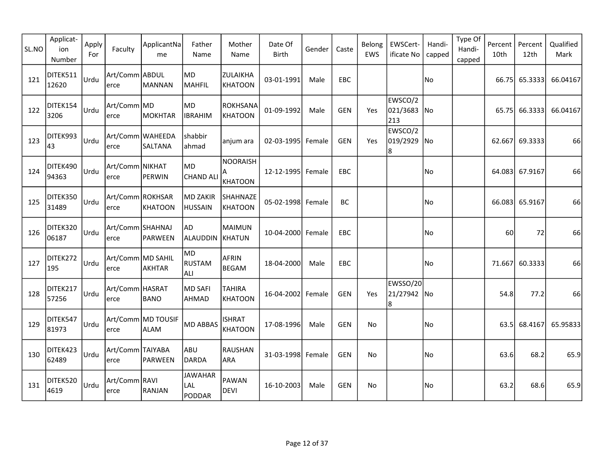| SL.NO | Applicat-<br>ion<br>Number | Apply<br>For | Faculty                   | ApplicantNa<br>me           | Father<br>Name                  | Mother<br>Name                  | Date Of<br><b>Birth</b> | Gender | Caste      | Belong<br>EWS | EWSCert-<br>ificate No        | Handi-<br>capped | Type Of<br>Handi-<br>capped | Percent<br>10th | Percent<br>12th | Qualified<br>Mark |
|-------|----------------------------|--------------|---------------------------|-----------------------------|---------------------------------|---------------------------------|-------------------------|--------|------------|---------------|-------------------------------|------------------|-----------------------------|-----------------|-----------------|-------------------|
| 121   | DITEK511<br>12620          | Urdu         | Art/Comm ABDUL <br>lerce  | MANNAN                      | MD)<br>MAHFIL                   | ZULAIKHA<br><b>KHATOON</b>      | 03-01-1991              | Male   | EBC        |               |                               | No               |                             | 66.75           | 65.3333         | 66.04167          |
| 122   | DITEK154<br>3206           | Urdu         | Art/Comm MD<br>lerce      | MOKHTAR                     | MD)<br><b>IBRAHIM</b>           | <b>ROKHSANA</b><br>KHATOON      | 01-09-1992              | Male   | <b>GEN</b> | Yes           | EWSCO/2<br>021/3683 No<br>213 |                  |                             | 65.75           | 66.3333         | 66.04167          |
| 123   | DITEK993<br>43             | Urdu         | lerce                     | Art/Comm WAHEEDA<br>SALTANA | shabbir<br>ahmad                | anjum ara                       | 02-03-1995 Female       |        | <b>GEN</b> | Yes           | EWSCO/2<br>019/2929 No<br>8   |                  |                             |                 | 62.667 69.3333  | 66                |
| 124   | DITEK490<br>94363          | Urdu         | Art/Comm NIKHAT<br>erce   | PERWIN                      | MD.<br><b>CHAND ALI</b>         | <b>NOORAISH</b><br>KHATOON      | 12-12-1995 Female       |        | <b>EBC</b> |               |                               | No               |                             |                 | 64.083 67.9167  | 66                |
| 125   | DITEK350<br>31489          | Urdu         | Art/Comm ROKHSAR<br>lerce | KHATOON                     | MD ZAKIR<br><b>HUSSAIN</b>      | SHAHNAZE<br><b>KHATOON</b>      | 05-02-1998 Female       |        | BC         |               |                               | No               |                             |                 | 66.083 65.9167  | 66                |
| 126   | DITEK320<br>06187          | Urdu         | Art/Comm SHAHNAJ<br>erce  | PARWEEN                     | AD<br>ALAUDDIN                  | <b>MAIMUN</b><br>KHATUN         | 10-04-2000 Female       |        | EBC        |               |                               | No               |                             | 60              | 72              | 66                |
| 127   | DITEK272<br>195            | Urdu         | Art/Comm MD SAHIL<br>erce | <b>AKHTAR</b>               | MD<br>RUSTAM<br>ALI             | <b>AFRIN</b><br><b>BEGAM</b>    | 18-04-2000              | Male   | <b>EBC</b> |               |                               | No.              |                             | 71.667          | 60.3333         | 66                |
| 128   | DITEK217<br>57256          | Urdu         | Art/Comm HASRAT <br>erce  | <b>BANO</b>                 | MD SAFI<br>AHMAD                | <b>TAHIRA</b><br><b>KHATOON</b> | 16-04-2002 Female       |        | <b>GEN</b> | Yes           | EWSSO/20<br>21/27942 No<br>8  |                  |                             | 54.8            | 77.2            | 66                |
| 129   | DITEK547<br>81973          | Urdu         | lerce                     | Art/Comm MD TOUSIF<br>ALAM  | MD ABBAS                        | <b>ISHRAT</b><br><b>KHATOON</b> | 17-08-1996              | Male   | <b>GEN</b> | No            |                               | No               |                             | 63.5            | 68.4167         | 65.95833          |
| 130   | DITEK423<br>62489          | Urdu         | Art/Comm TAIYABA<br>lerce | PARWEEN                     | ABU<br>DARDA                    | RAUSHAN<br><b>ARA</b>           | 31-03-1998 Female       |        | GEN        | No.           |                               | No               |                             | 63.6            | 68.2            | 65.9              |
| 131   | DITEK520<br>4619           | Urdu         | Art/Comm RAVI<br>lerce    | RANJAN                      | <b>JAWAHAR</b><br>LAL<br>PODDAR | PAWAN<br><b>DEVI</b>            | 16-10-2003              | Male   | <b>GEN</b> | No            |                               | No               |                             | 63.2            | 68.6            | 65.9              |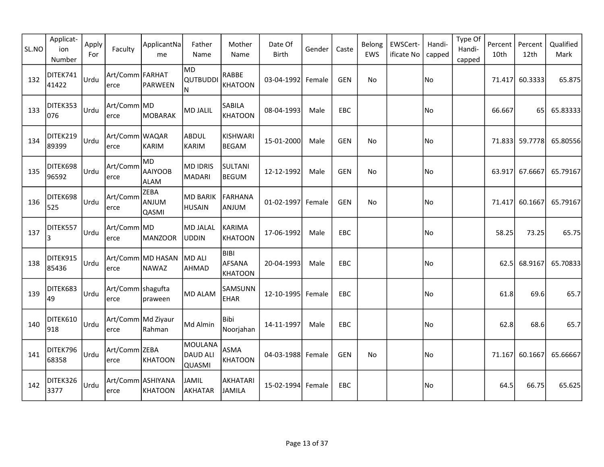| SL.NO | Applicat-<br>ion<br>Number | Apply<br>For | Faculty                     | ApplicantNa<br>me                    | Father<br>Name                              | Mother<br>Name                                 | Date Of<br>Birth  | Gender | Caste      | Belong<br>EWS | EWSCert-<br>ificate No | Handi-<br>capped | Type Of<br>Handi-<br>capped | Percent<br>10th | Percent<br>12th | Qualified<br>Mark |
|-------|----------------------------|--------------|-----------------------------|--------------------------------------|---------------------------------------------|------------------------------------------------|-------------------|--------|------------|---------------|------------------------|------------------|-----------------------------|-----------------|-----------------|-------------------|
| 132   | DITEK741<br>41422          | Urdu         | Art/Comm FARHAT <br>lerce   | PARWEEN                              | MD)<br><b>QUTBUDDI</b><br>N.                | RABBE<br><b>KHATOON</b>                        | 03-04-1992 Female |        | <b>GEN</b> | No            |                        | No               |                             | 71.417          | 60.3333         | 65.875            |
| 133   | DITEK353<br>076            | Urdu         | Art/Comm MD <br>lerce       | MOBARAK                              | <b>MD JALIL</b>                             | SABILA<br><b>KHATOON</b>                       | 08-04-1993        | Male   | EBC        |               |                        | No               |                             | 66.667          | 65              | 65.83333          |
| 134   | DITEK219<br>89399          | Urdu         | Art/Comm WAQAR<br>lerce     | KARIM                                | ABDUL<br>KARIM                              | KISHWARI<br><b>BEGAM</b>                       | 15-01-2000        | Male   | <b>GEN</b> | No            |                        | No)              |                             |                 | 71.833 59.7778  | 65.80556          |
| 135   | DITEK698<br>96592          | Urdu         | Art/Comm<br>erce            | MD<br><b>AAIYOOB</b><br><b>ALAM</b>  | <b>MD IDRIS</b><br>MADARI                   | <b>SULTANI</b><br><b>BEGUM</b>                 | 12-12-1992        | Male   | <b>GEN</b> | No            |                        | No               |                             | 63.917          | 67.6667         | 65.79167          |
| 136   | DITEK698<br>525            | Urdu         | Art/Comm<br>erce            | <b>ZEBA</b><br>ANJUM<br><b>QASMI</b> | <b>MD BARIK</b><br>HUSAIN                   | <b>FARHANA</b><br>ANJUM                        | 01-02-1997 Female |        | <b>GEN</b> | <b>No</b>     |                        | No               |                             | 71.417          | 60.1667         | 65.79167          |
| 137   | DITEK557<br>3              | Urdu         | Art/Comm MD <br>erce        | MANZOOR                              | MD JALAL<br><b>UDDIN</b>                    | <b>KARIMA</b><br><b>KHATOON</b>                | 17-06-1992        | Male   | <b>EBC</b> |               |                        | No)              |                             | 58.25           | 73.25           | 65.75             |
| 138   | DITEK915<br>85436          | Urdu         | erce                        | Art/Comm MD HASAN<br>NAWAZ           | MD ALI<br>AHMAD                             | <b>BIBI</b><br><b>AFSANA</b><br><b>KHATOON</b> | 20-04-1993        | Male   | <b>EBC</b> |               |                        | No)              |                             | 62.5            | 68.9167         | 65.70833          |
| 139   | DITEK683<br>49             | Urdu         | Art/Comm   shagufta<br>erce | praween                              | <b>MD ALAM</b>                              | SAMSUNN<br><b>EHAR</b>                         | 12-10-1995 Female |        | <b>EBC</b> |               |                        | No.              |                             | 61.8            | 69.6            | 65.7              |
| 140   | DITEK610<br>918            | Urdu         | Art/Comm Md Ziyaur<br>lerce | Rahman                               | Md Almin                                    | Bibi<br>Noorjahan                              | 14-11-1997        | Male   | EBC        |               |                        | No               |                             | 62.8            | 68.6            | 65.7              |
| 141   | DITEK796<br>68358          | Urdu         | Art/Comm ZEBA<br>lerce      | KHATOON                              | MOULANA<br><b>DAUD ALI</b><br><b>QUASMI</b> | <b>ASMA</b><br><b>KHATOON</b>                  | 04-03-1988 Female |        | <b>GEN</b> | No            |                        | No)              |                             | 71.167          | 60.1667         | 65.66667          |
| 142   | DITEK326<br>3377           | Urdu         | Art/Comm ASHIYANA<br>lerce  | KHATOON                              | <b>JAMIL</b><br>AKHATAR                     | AKHATARI<br><b>JAMILA</b>                      | 15-02-1994 Female |        | <b>EBC</b> |               |                        | No               |                             | 64.5            | 66.75           | 65.625            |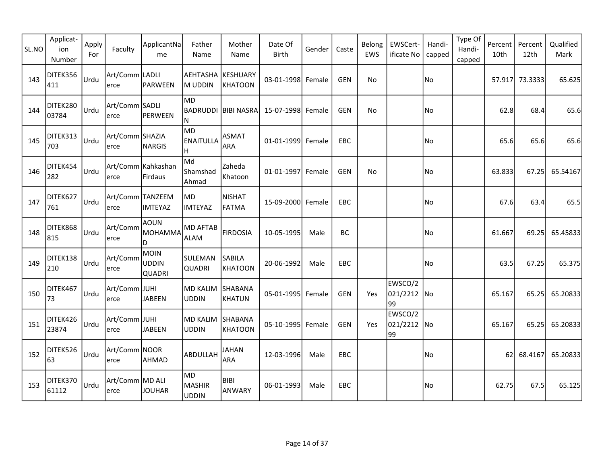| SL.NO | Applicat-<br>ion<br>Number | Apply<br>For | Faculty                   | ApplicantNa<br>me              | Father<br>Name                       | Mother<br>Name                    | Date Of<br><b>Birth</b> | Gender | Caste      | Belong<br>EWS | EWSCert-<br>ificate No       | Handi-<br>capped | Type Of<br>Handi-<br>capped | Percent<br>10th | Percent<br>12th | Qualified<br>Mark |
|-------|----------------------------|--------------|---------------------------|--------------------------------|--------------------------------------|-----------------------------------|-------------------------|--------|------------|---------------|------------------------------|------------------|-----------------------------|-----------------|-----------------|-------------------|
| 143   | DITEK356<br>411            | Urdu         | Art/Comm LADLI<br>lerce   | PARWEEN                        | AEHTASHA<br>M UDDIN                  | <b>KESHUARY</b><br><b>KHATOON</b> | 03-01-1998 Female       |        | <b>GEN</b> | No            |                              | No               |                             |                 | 57.917 73.3333  | 65.625            |
| 144   | DITEK280<br>03784          | Urdu         | Art/Comm SADLI<br>lerce   | PERWEEN                        | MD.<br>BADRUDDI<br>N                 | BIBI NASRA                        | 15-07-1998 Female       |        | <b>GEN</b> | No            |                              | No)              |                             | 62.8            | 68.4            | 65.6              |
| 145   | DITEK313<br>703            | Urdu         | Art/Comm SHAZIA<br>erce   | NARGIS                         | MD)<br><b>ENAITULLA</b><br>H.        | ASMAT<br>ARA                      | 01-01-1999 Female       |        | <b>EBC</b> |               |                              | No)              |                             | 65.6            | 65.6            | 65.6              |
| 146   | DITEK454<br>282            | Urdu         | erce                      | Art/Comm Kahkashan<br>Firdaus  | lMd<br>Shamshad<br>Ahmad             | Zaheda<br>Khatoon                 | 01-01-1997 Female       |        | <b>GEN</b> | No            |                              | No               |                             | 63.833          | 67.25           | 65.54167          |
| 147   | DITEK627<br>761            | Urdu         | Art/Comm TANZEEM<br>lerce | <b>IMTEYAZ</b>                 | MD)<br><b>IMTEYAZ</b>                | <b>NISHAT</b><br><b>FATMA</b>     | 15-09-2000 Female       |        | EBC        |               |                              | No)              |                             | 67.6            | 63.4            | 65.5              |
| 148   | DITEK868<br>815            | Urdu         | Art/Comm<br>erce          | AOUN<br>MOHAMMA<br>D           | <b>MD AFTAB</b><br><b>ALAM</b>       | <b>FIRDOSIA</b>                   | 10-05-1995              | Male   | BC         |               |                              | No)              |                             | 61.667          | 69.25           | 65.45833          |
| 149   | DITEK138<br>210            | Urdu         | Art/Comm<br>erce          | MOIN<br>UDDIN<br><b>QUADRI</b> | SULEMAN<br><b>QUADRI</b>             | <b>SABILA</b><br><b>KHATOON</b>   | 20-06-1992              | Male   | <b>EBC</b> |               |                              | No               |                             | 63.5            | 67.25           | 65.375            |
| 150   | DITEK467<br>73             | Urdu         | Art/Comm JUHI <br>erce    | <b>JABEEN</b>                  | <b>MD KALIM</b><br><b>UDDIN</b>      | SHABANA<br><b>KHATUN</b>          | 05-01-1995 Female       |        | <b>GEN</b> | Yes           | EWSCO/2<br>021/2212 No<br>99 |                  |                             | 65.167          | 65.25           | 65.20833          |
| 151   | DITEK426<br>23874          | Urdu         | Art/Comm JUHI <br>lerce   | <b>JABEEN</b>                  | <b>MD KALIM</b><br><b>UDDIN</b>      | SHABANA<br><b>KHATOON</b>         | 05-10-1995 Female       |        | <b>GEN</b> | Yes           | EWSCO/2<br>021/2212 No<br>99 |                  |                             | 65.167          | 65.25           | 65.20833          |
| 152   | DITEK526<br>63             | Urdu         | Art/Comm NOOR <br>lerce   | <b>AHMAD</b>                   | ABDULLAH                             | <b>JAHAN</b><br><b>ARA</b>        | 12-03-1996              | Male   | EBC        |               |                              | No)              |                             | 62              | 68.4167         | 65.20833          |
| 153   | DITEK370<br>61112          | Urdu         | Art/Comm MD ALI<br>lerce  | <b>JOUHAR</b>                  | MD)<br><b>MASHIR</b><br><b>UDDIN</b> | <b>BIBI</b><br>ANWARY             | 06-01-1993              | Male   | EBC        |               |                              | No)              |                             | 62.75           | 67.5            | 65.125            |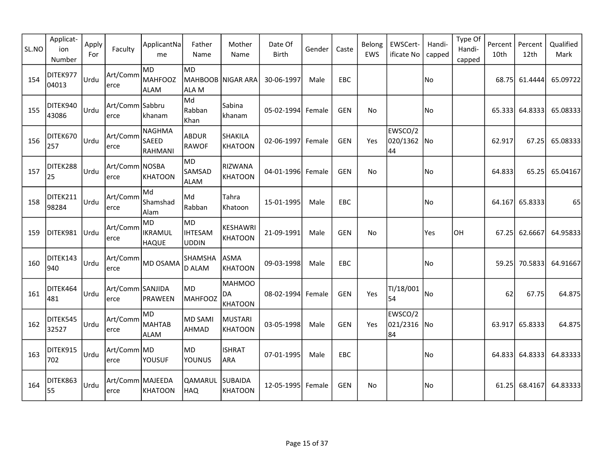| SL.NO | Applicat-<br>ion<br>Number | Apply<br>For | Faculty                   | ApplicantNa<br>me                    | Father<br>Name                   | Mother<br>Name                        | Date Of<br><b>Birth</b> | Gender | Caste      | Belong<br>EWS | EWSCert-<br>ificate No       | Handi-<br>capped | Type Of<br>Handi-<br>capped | Percent<br>10th | Percent<br>12th | Qualified<br>Mark |
|-------|----------------------------|--------------|---------------------------|--------------------------------------|----------------------------------|---------------------------------------|-------------------------|--------|------------|---------------|------------------------------|------------------|-----------------------------|-----------------|-----------------|-------------------|
| 154   | DITEK977<br>04013          | Urdu         | Art/Comm<br>lerce         | MD<br>MAHFOOZ<br><b>ALAM</b>         | lmd.<br><b>MAHBOOB</b><br>ALLA M | NIGAR ARA                             | 30-06-1997              | Male   | EBC        |               |                              | No               |                             | 68.75           | 61.4444         | 65.09722          |
| 155   | DITEK940<br>43086          | Urdu         | Art/Comm Sabbru<br>lerce  | khanam                               | Md<br>Rabban<br>Khan             | Sabina<br>khanam                      | 05-02-1994 Female       |        | GEN        | No            |                              | No               |                             | 65.3331         | 64.8333         | 65.08333          |
| 156   | DITEK670<br>257            | Urdu         | Art/Comm<br>erce          | NAGHMA<br><b>SAEED</b><br>RAHMANI    | <b>ABDUR</b><br><b>RAWOF</b>     | <b>SHAKILA</b><br><b>KHATOON</b>      | 02-06-1997 Female       |        | <b>GEN</b> | Yes           | EWSCO/2<br>020/1362 No<br>44 |                  |                             | 62.917          | 67.25           | 65.08333          |
| 157   | DITEK288<br>25             | Urdu         | Art/Comm NOSBA<br>erce    | KHATOON                              | MD.<br><b>SAMSAD</b><br>ALAM     | RIZWANA<br><b>KHATOON</b>             | 04-01-1996 Female       |        | GEN        | No            |                              | No               |                             | 64.833          | 65.25           | 65.04167          |
| 158   | DITEK211<br>98284          | Urdu         | Art/Comm<br>erce          | Md<br>Shamshad<br>Alam               | Md<br>Rabban                     | Tahra<br>Khatoon                      | 15-01-1995              | Male   | EBC        |               |                              | No.              |                             |                 | 64.167 65.8333  | 65                |
| 159   | DITEK981                   | Urdu         | Art/Comm<br>lerce         | MD<br><b>IKRAMUL</b><br><b>HAQUE</b> | MD)<br><b>IHTESAM</b><br>UDDIN   | <b>KESHAWRI</b><br><b>KHATOON</b>     | 21-09-1991              | Male   | <b>GEN</b> | No            |                              | Yes              | OH                          |                 | 67.25 62.6667   | 64.95833          |
| 160   | DITEK143<br>940            | Urdu         | Art/Comm<br>erce          | MD OSAMA                             | SHAMSHA<br><b>D ALAM</b>         | <b>ASMA</b><br><b>KHATOON</b>         | 09-03-1998              | Male   | <b>EBC</b> |               |                              | No.              |                             | 59.25           | 70.5833         | 64.91667          |
| 161   | DITEK464<br>481            | Urdu         | Art/Comm SANJIDA<br>lerce | PRAWEEN                              | MD <br>MAHFOOZ                   | <b>MAHMOO</b><br>DA<br><b>KHATOON</b> | 08-02-1994 Female       |        | <b>GEN</b> | Yes           | TI/18/001<br>54              | No               |                             | 62              | 67.75           | 64.875            |
| 162   | DITEK545<br>32527          | Urdu         | Art/Comm<br>erce          | lmd<br><b>MAHTAB</b><br><b>ALAM</b>  | MD SAMI<br>AHMAD                 | <b>MUSTARI</b><br><b>KHATOON</b>      | 03-05-1998              | Male   | <b>GEN</b> | Yes           | EWSCO/2<br>021/2316 No<br>84 |                  |                             |                 | 63.917 65.8333  | 64.875            |
| 163   | DITEK915<br>702            | Urdu         | Art/Comm MD <br>lerce     | <b>YOUSUF</b>                        | MD <br>YOUNUS                    | <b>ISHRAT</b><br><b>ARA</b>           | 07-01-1995              | Male   | EBC        |               |                              | No               |                             |                 | 64.833 64.8333  | 64.83333          |
| 164   | DITEK863<br>55             | Urdu         | Art/Comm MAJEEDA<br>lerce | KHATOON                              | QAMARUL<br>HAQ                   | <b>SUBAIDA</b><br><b>KHATOON</b>      | 12-05-1995 Female       |        | GEN        | No            |                              | No               |                             |                 | 61.25 68.4167   | 64.83333          |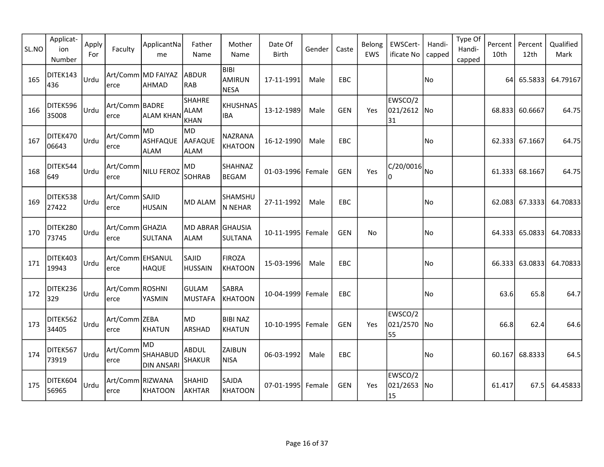| SL.NO | Applicat-<br>ion<br>Number | Apply<br>For | Faculty                   | ApplicantNa<br>me                           | Father<br>Name                       | Mother<br>Name                       | Date Of<br>Birth  | Gender | Caste      | Belong<br>EWS | EWSCert-<br>ificate No       | Handi-<br>capped | Type Of<br>Handi-<br>capped | Percent<br>10th | Percent<br>12th | Qualified<br>Mark |
|-------|----------------------------|--------------|---------------------------|---------------------------------------------|--------------------------------------|--------------------------------------|-------------------|--------|------------|---------------|------------------------------|------------------|-----------------------------|-----------------|-----------------|-------------------|
| 165   | DITEK143<br>436            | Urdu         | lerce                     | Art/Comm MD FAIYAZ<br>AHMAD                 | ABDUR<br>RAB                         | BIBI<br><b>AMIRUN</b><br><b>NESA</b> | 17-11-1991        | Male   | EBC        |               |                              | No               |                             | 64              | 65.5833         | 64.79167          |
| 166   | DITEK596<br>35008          | Urdu         | Art/Comm BADRE <br>lerce  | <b>ALAM KHAN</b>                            | <b>SHAHRE</b><br><b>ALAM</b><br>KHAN | <b>KHUSHNAS</b><br><b>IBA</b>        | 13-12-1989        | Male   | <b>GEN</b> | Yes           | EWSCO/2<br>021/2612<br>31    | No               |                             | 68.833          | 60.6667         | 64.75             |
| 167   | DITEK470<br>06643          | Urdu         | Art/Comm<br>erce          | lmd.<br>ASHFAQUE<br><b>ALAM</b>             | MD.<br>AAFAQUE<br><b>ALAM</b>        | <b>NAZRANA</b><br><b>KHATOON</b>     | 16-12-1990        | Male   | EBC        |               |                              | No               |                             | 62.333          | 67.1667         | 64.75             |
| 168   | DITEK544<br>649            | Urdu         | Art/Comm<br>erce          | NILU FEROZ                                  | MD<br>SOHRAB                         | SHAHNAZ<br><b>BEGAM</b>              | 01-03-1996 Female |        | <b>GEN</b> | Yes           | C/20/0016<br>I۵              | No               |                             | 61.333          | 68.1667         | 64.75             |
| 169   | DITEK538<br>27422          | Urdu         | Art/Comm SAJID<br>erce    | <b>HUSAIN</b>                               | MD ALAM                              | SHAMSHU<br>N NEHAR                   | 27-11-1992        | Male   | EBC        |               |                              | No.              |                             |                 | 62.083 67.3333  | 64.70833          |
| 170   | DITEK280<br>73745          | Urdu         | Art/Comm GHAZIA<br>lerce  | SULTANA                                     | MD ABRAR GHAUSIA<br><b>ALAM</b>      | SULTANA                              | 10-11-1995 Female |        | GEN        | No            |                              | No)              |                             |                 | 64.333 65.0833  | 64.70833          |
| 171   | DITEK403<br>19943          | Urdu         | Art/Comm EHSANUL<br>erce  | <b>HAQUE</b>                                | <b>SAJID</b><br><b>HUSSAIN</b>       | <b>FIROZA</b><br><b>KHATOON</b>      | 15-03-1996        | Male   | <b>EBC</b> |               |                              | No.              |                             | 66.333          | 63.0833         | 64.70833          |
| 172   | DITEK236<br>329            | Urdu         | Art/Comm ROSHNI<br>erce   | YASMIN                                      | <b>GULAM</b><br>MUSTAFA              | SABRA<br><b>KHATOON</b>              | 10-04-1999 Female |        | EBC        |               |                              | No               |                             | 63.6            | 65.8            | 64.7              |
| 173   | DITEK562<br>34405          | Urdu         | Art/Comm ZEBA<br>erce     | KHATUN                                      | MD <br>ARSHAD                        | <b>BIBI NAZ</b><br><b>KHATUN</b>     | 10-10-1995 Female |        | <b>GEN</b> | Yes           | EWSCO/2<br>021/2570 No<br>55 |                  |                             | 66.8            | 62.4            | 64.6              |
| 174   | DITEK567<br>73919          | Urdu         | Art/Comm<br>lerce         | MD.<br><b>SHAHABUD</b><br><b>DIN ANSARI</b> | ABDUL<br><b>SHAKUR</b>               | ZAIBUN<br><b>NISA</b>                | 06-03-1992        | Male   | EBC        |               |                              | No               |                             | 60.167          | 68.8333         | 64.5              |
| 175   | DITEK604<br>56965          | Urdu         | Art/Comm RIZWANA<br>lerce | KHATOON                                     | <b>SHAHID</b><br>AKHTAR              | SAJDA<br><b>KHATOON</b>              | 07-01-1995 Female |        | GEN        | Yes           | EWSCO/2<br>021/2653 No<br>15 |                  |                             | 61.417          | 67.5            | 64.45833          |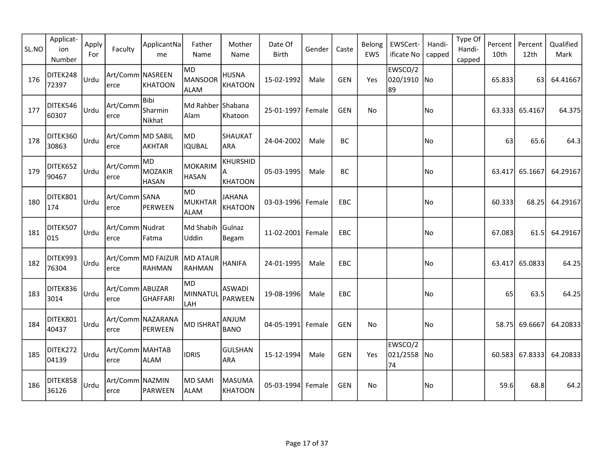| SL.NO | Applicat-<br>ion<br>Number | Apply<br>For | Faculty                   | ApplicantNa<br>me               | Father<br>Name            | Mother<br>Name                         | Date Of<br><b>Birth</b> | Gender | Caste      | Belong<br>EWS | EWSCert-<br>ificate No       | Handi-<br>capped | Type Of<br>Handi-<br>capped | Percent<br>10th | Percent<br>12th | Qualified<br>Mark |
|-------|----------------------------|--------------|---------------------------|---------------------------------|---------------------------|----------------------------------------|-------------------------|--------|------------|---------------|------------------------------|------------------|-----------------------------|-----------------|-----------------|-------------------|
| 176   | DITEK248<br>72397          | Urdu         | Art/Comm NASREEN<br>lerce | KHATOON                         | MD<br>MANSOOR<br>ALAM     | <b>HUSNA</b><br><b>KHATOON</b>         | 15-02-1992              | Male   | <b>GEN</b> | Yes           | EWSCO/2<br>020/1910 No<br>89 |                  |                             | 65.833          | 63              | 64.41667          |
| 177   | DITEK546<br>60307          | Urdu         | Art/Comm<br>lerce         | l Bibi<br>Sharmin<br>Nikhat     | Md Rahber Shabana<br>Alam | Khatoon                                | 25-01-1997 Female       |        | <b>GEN</b> | No            |                              | No               |                             | 63.333          | 65.4167         | 64.375            |
| 178   | DITEK360<br>30863          | Urdu         | Art/Comm MD SABIL<br>erce | AKHTAR                          | MD.<br>IQUBAL             | <b>SHAUKAT</b><br><b>ARA</b>           | 24-04-2002              | Male   | BC         |               |                              | No)              |                             | 63              | 65.6            | 64.3              |
| 179   | DITEK652<br>90467          | Urdu         | Art/Comm<br>erce          | lmd.<br>MOZAKIR<br><b>HASAN</b> | MOKARIM<br><b>HASAN</b>   | <b>KHURSHID</b><br>A<br><b>KHATOON</b> | 05-03-1995              | Male   | BC         |               |                              | No               |                             | 63.417          | 65.1667         | 64.29167          |
| 180   | DITEK801<br>174            | Urdu         | Art/Comm SANA<br>erce     | PERWEEN                         | MD<br>MUKHTAR<br>ALAM     | <b>JAHANA</b><br><b>KHATOON</b>        | 03-03-1996 Female       |        | EBC        |               |                              | No)              |                             | 60.333          | 68.25           | 64.29167          |
| 181   | DITEK507<br>015            | Urdu         | Art/Comm Nudrat<br>erce   | Fatma                           | Md Shabih<br>Uddin        | Gulnaz<br>Begam                        | 11-02-2001 Female       |        | <b>EBC</b> |               |                              | No)              |                             | 67.083          | 61.5            | 64.29167          |
| 182   | DITEK993<br>76304          | Urdu         | erce                      | Art/Comm MD FAIZUR<br>RAHMAN    | MD ATAUR<br>RAHMAN        | <b>HANIFA</b>                          | 24-01-1995              | Male   | <b>EBC</b> |               |                              | No               |                             | 63.417          | 65.0833         | 64.25             |
| 183   | DITEK836<br>3014           | Urdu         | Art/Comm ABUZAR<br>erce   | GHAFFARI                        | MD)<br>MINNATUL<br>LAH    | <b>ASWADI</b><br>PARWEEN               | 19-08-1996              | Male   | <b>EBC</b> |               |                              | No)              |                             | 65              | 63.5            | 64.25             |
| 184   | DITEK801<br>40437          | Urdu         | lerce                     | Art/Comm NAZARANA<br>PERWEEN    | <b>MD ISHRAT</b>          | <b>ANJUM</b><br><b>BANO</b>            | 04-05-1991 Female       |        | <b>GEN</b> | No            |                              | No)              |                             | 58.75           | 69.6667         | 64.20833          |
| 185   | DITEK272<br>04139          | Urdu         | Art/Comm MAHTAB <br>lerce | <b>ALAM</b>                     | <b>IDRIS</b>              | <b>GULSHAN</b><br><b>ARA</b>           | 15-12-1994              | Male   | <b>GEN</b> | Yes           | EWSCO/2<br>021/2558 No<br>74 |                  |                             |                 | 60.583 67.8333  | 64.20833          |
| 186   | DITEK858<br>36126          | Urdu         | Art/Comm NAZMIN<br>erce   | PARWEEN                         | MD SAMI<br>ALAM           | <b>MASUMA</b><br><b>KHATOON</b>        | 05-03-1994 Female       |        | <b>GEN</b> | No            |                              | No               |                             | 59.6            | 68.8            | 64.2              |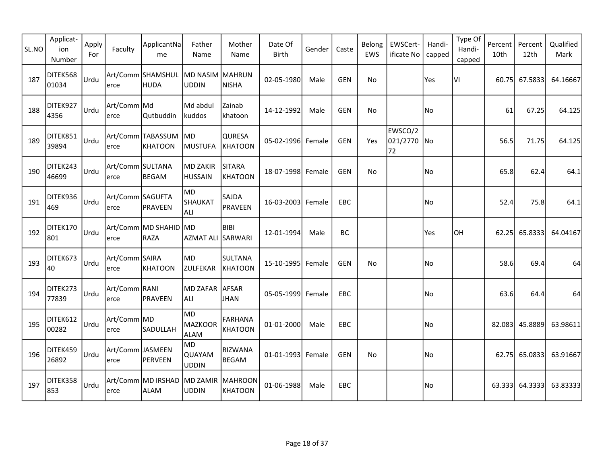| SL.NO | Applicat-<br>ion<br>Number | Apply<br>For | Faculty                   | ApplicantNa<br>me            | Father<br>Name                       | Mother<br>Name                   | Date Of<br><b>Birth</b> | Gender | Caste      | Belong<br>EWS | EWSCert-<br>ificate No       | Handi-<br>capped | Type Of<br>Handi-<br>capped | Percent<br>10th | Percent<br>12th | Qualified<br>Mark |
|-------|----------------------------|--------------|---------------------------|------------------------------|--------------------------------------|----------------------------------|-------------------------|--------|------------|---------------|------------------------------|------------------|-----------------------------|-----------------|-----------------|-------------------|
| 187   | DITEK568<br>01034          | Urdu         | lerce                     | Art/Comm SHAMSHUL<br>HUDA    | MD NASIM MAHRUN<br><b>UDDIN</b>      | <b>NISHA</b>                     | 02-05-1980              | Male   | <b>GEN</b> | No            |                              | Yes              | VI                          | 60.75           | 67.5833         | 64.16667          |
| 188   | DITEK927<br>4356           | Urdu         | Art/Comm Md<br>lerce      | Qutbuddin                    | Md abdul<br>kuddos                   | Zainab<br>khatoon                | 14-12-1992              | Male   | <b>GEN</b> | No            |                              | No               |                             | 61              | 67.25           | 64.125            |
| 189   | DITEK851<br>39894          | Urdu         | lerce                     | Art/Comm TABASSUM<br>KHATOON | MD.<br>MUSTUFA                       | QURESA<br><b>KHATOON</b>         | 05-02-1996 Female       |        | <b>GEN</b> | Yes           | EWSCO/2<br>021/2770 No<br>72 |                  |                             | 56.5            | 71.75           | 64.125            |
| 190   | DITEK243<br>46699          | Urdu         | Art/Comm SULTANA<br>erce  | BEGAM                        | MD ZAKIR<br><b>HUSSAIN</b>           | <b>SITARA</b><br><b>KHATOON</b>  | 18-07-1998 Female       |        | <b>GEN</b> | No            |                              | No               |                             | 65.8            | 62.4            | 64.1              |
| 191   | DITEK936<br>469            | Urdu         | Art/Comm SAGUFTA<br>erce  | PRAVEEN                      | lMD.<br>SHAUKAT<br>ALI.              | SAJDA<br>PRAVEEN                 | 16-03-2003 Female       |        | EBC        |               |                              | No.              |                             | 52.4            | 75.8            | 64.1              |
| 192   | DITEK170<br>801            | Urdu         | lerce                     | Art/Comm MD SHAHID<br>RAZA   | MD<br><b>AZMAT ALI SARWARI</b>       | <b>BIBI</b>                      | 12-01-1994              | Male   | <b>BC</b>  |               |                              | Yes              | OH                          | 62.25           | 65.8333         | 64.04167          |
| 193   | DITEK673<br>40             | Urdu         | Art/Comm SAIRA<br>erce    | KHATOON                      | MD)<br>ZULFEKAR                      | <b>SULTANA</b><br>KHATOON        | 15-10-1995 Female       |        | <b>GEN</b> | No            |                              | No.              |                             | 58.6            | 69.4            | 64                |
| 194   | DITEK273<br>77839          | Urdu         | Art/Comm RANI<br>erce     | PRAVEEN                      | MD ZAFAR  AFSAR<br> ALI              | <b>JHAN</b>                      | 05-05-1999 Female       |        | <b>EBC</b> |               |                              | No               |                             | 63.6            | 64.4            | 64                |
| 195   | DITEK612<br>00282          | Urdu         | Art/Comm MD<br>erce       | <b>SADULLAH</b>              | MD.<br>MAZKOOR<br>ALAM               | <b>FARHANA</b><br><b>KHATOON</b> | 01-01-2000              | Male   | EBC        |               |                              | No               |                             |                 | 82.083 45.8889  | 63.98611          |
| 196   | DITEK459<br>26892          | Urdu         | Art/Comm JASMEEN<br>lerce | PERVEEN                      | MD.<br><b>QUAYAM</b><br><b>UDDIN</b> | RIZWANA<br><b>BEGAM</b>          | 01-01-1993 Female       |        | <b>GEN</b> | <b>No</b>     |                              | No               |                             |                 | 62.75 65.0833   | 63.91667          |
| 197   | DITEK358<br>853            | Urdu         | lerce                     | Art/Comm MD IRSHAD<br>ALAM   | MD ZAMIR<br><b>UDDIN</b>             | MAHROON<br><b>KHATOON</b>        | 01-06-1988              | Male   | EBC.       |               |                              | No               |                             |                 | 63.333 64.3333  | 63.83333          |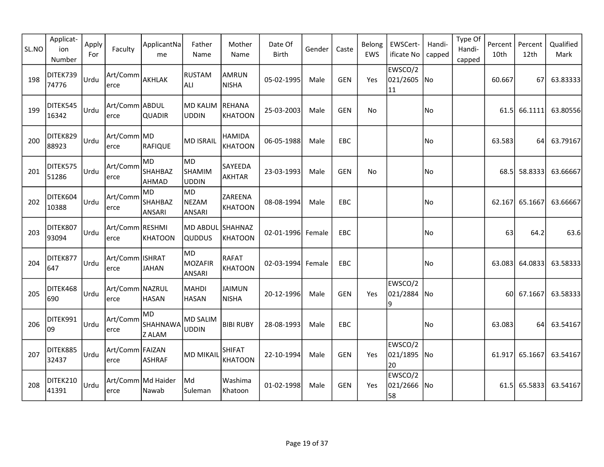| SL.NO | Applicat-<br>ion<br>Number | Apply<br>For | Faculty                     | ApplicantNa<br>me                | Father<br>Name                   | Mother<br>Name                  | Date Of<br><b>Birth</b> | Gender | Caste      | Belong<br>EWS | EWSCert-<br>ificate No       | Handi-<br>capped | Type Of<br>Handi-<br>capped | Percent<br>10th | Percent<br>12th | Qualified<br>Mark |
|-------|----------------------------|--------------|-----------------------------|----------------------------------|----------------------------------|---------------------------------|-------------------------|--------|------------|---------------|------------------------------|------------------|-----------------------------|-----------------|-----------------|-------------------|
| 198   | DITEK739<br>74776          | Urdu         | Art/Comm<br>lerce           | AKHLAK                           | RUSTAM<br> ALI                   | <b>AMRUN</b><br><b>NISHA</b>    | 05-02-1995              | Male   | <b>GEN</b> | Yes           | EWSCO/2<br>021/2605<br>11    | No               |                             | 60.667          | 67              | 63.83333          |
| 199   | DITEK545<br>16342          | Urdu         | Art/Comm ABDUL <br>lerce    | <b>QUADIR</b>                    | MD KALIM<br><b>UDDIN</b>         | REHANA<br><b>KHATOON</b>        | 25-03-2003              | Male   | <b>GEN</b> | No            |                              | No               |                             | 61.5            | 66.1111         | 63.80556          |
| 200   | DITEK829<br>88923          | Urdu         | Art/Comm MD <br>erce        | RAFIQUE                          | <b>MD ISRAIL</b>                 | <b>HAMIDA</b><br><b>KHATOON</b> | 06-05-1988              | Male   | EBC        |               |                              | No               |                             | 63.583          | 64              | 63.79167          |
| 201   | DITEK575<br>51286          | Urdu         | Art/Comm<br>erce            | MD<br><b>SHAHBAZ</b><br>AHMAD    | MD<br><b>SHAMIM</b><br>UDDIN     | SAYEEDA<br>AKHTAR               | 23-03-1993              | Male   | <b>GEN</b> | No            |                              | No               |                             | 68.5            | 58.8333         | 63.66667          |
| 202   | DITEK604<br>10388          | Urdu         | Art/Comm<br>erce            | MD<br><b>SHAHBAZ</b><br>ANSARI   | MD<br><b>NEZAM</b><br>ANSARI     | ZAREENA<br><b>KHATOON</b>       | 08-08-1994              | Male   | EBC        |               |                              | No.              |                             |                 | 62.167 65.1667  | 63.66667          |
| 203   | DITEK807<br>93094          | Urdu         | Art/Comm RESHMI<br>erce     | KHATOON                          | <b>MD ABDUL</b><br><b>QUDDUS</b> | SHAHNAZ<br><b>KHATOON</b>       | 02-01-1996 Female       |        | <b>EBC</b> |               |                              | No)              |                             | 63              | 64.2            | 63.6              |
| 204   | DITEK877<br>647            | Urdu         | Art/Comm ISHRAT <br>erce    | <b>JAHAN</b>                     | MD<br>MOZAFIR<br>ANSARI          | RAFAT<br><b>KHATOON</b>         | 02-03-1994 Female       |        | <b>EBC</b> |               |                              | No.              |                             | 63.083          | 64.0833         | 63.58333          |
| 205   | DITEK468<br>690            | Urdu         | Art/Comm NAZRUL<br>erce     | <b>HASAN</b>                     | MAHDI <br><b>HASAN</b>           | <b>JAIMUN</b><br><b>NISHA</b>   | 20-12-1996              | Male   | <b>GEN</b> | Yes           | EWSCO/2<br>021/2884<br>q     | No               |                             |                 | 60 67.1667      | 63.58333          |
| 206   | DITEK991<br>09             | Urdu         | Art/Comm<br>erce            | MD.<br><b>SHAHNAWA</b><br>Z ALAM | <b>MD SALIM</b><br><b>UDDIN</b>  | <b>BIBI RUBY</b>                | 28-08-1993              | Male   | EBC        |               |                              | No               |                             | 63.083          | 64              | 63.54167          |
| 207   | DITEK885<br>32437          | Urdu         | Art/Comm FAIZAN<br>lerce    | <b>ASHRAF</b>                    | MD MIKAIL                        | <b>SHIFAT</b><br><b>KHATOON</b> | 22-10-1994              | Male   | <b>GEN</b> | Yes           | EWSCO/2<br>021/1895 No<br>20 |                  |                             |                 | 61.917 65.1667  | 63.54167          |
| 208   | DITEK210<br>41391          | Urdu         | Art/Comm Md Haider<br>lerce | Nawab                            | Md<br>Suleman                    | Washima<br>Khatoon              | 01-02-1998              | Male   | <b>GEN</b> | Yes           | EWSCO/2<br>021/2666<br>58    | No               |                             |                 | 61.5 65.5833    | 63.54167          |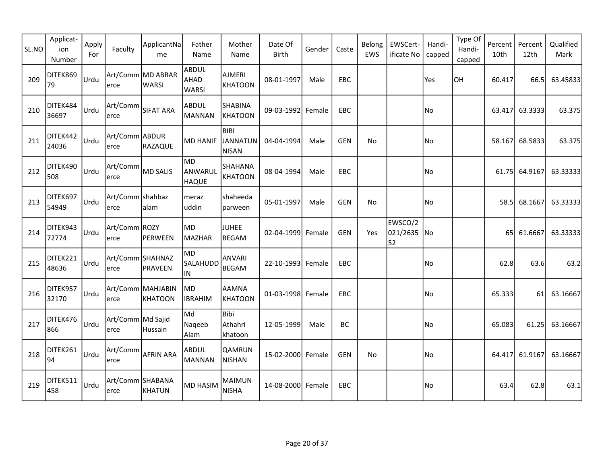| SL.NO | Applicat-<br>ion<br>Number | Apply<br>For | Faculty                   | ApplicantNa<br>me                 | Father<br>Name                       | Mother<br>Name                                 | Date Of<br><b>Birth</b> | Gender | Caste      | Belong<br>EWS | EWSCert-<br>ificate No    | Handi-<br>capped         | Type Of<br>Handi-<br>capped | Percent<br>10th | Percent<br>12th | Qualified<br>Mark |
|-------|----------------------------|--------------|---------------------------|-----------------------------------|--------------------------------------|------------------------------------------------|-------------------------|--------|------------|---------------|---------------------------|--------------------------|-----------------------------|-----------------|-----------------|-------------------|
| 209   | DITEK869<br>79             | Urdu         | lerce                     | Art/Comm MD ABRAR<br><b>WARSI</b> | <b>ABDUL</b><br>AHAD<br><b>WARSI</b> | <b>AJMERI</b><br><b>KHATOON</b>                | 08-01-1997              | Male   | EBC        |               |                           | Yes                      | lон                         | 60.417          | 66.5            | 63.45833          |
| 210   | DITEK484<br>36697          | Urdu         | Art/Comm<br>erce          | <b>SIFAT ARA</b>                  | <b>ABDUL</b><br>MANNAN               | <b>SHABINA</b><br>KHATOON                      | 09-03-1992 Female       |        | EBC        |               |                           | No                       |                             | 63.417          | 63.3333         | 63.375            |
| 211   | DITEK442<br>24036          | Urdu         | Art/Comm ABDUR<br>erce    | RAZAQUE                           | MD HANIF                             | <b>BIBI</b><br><b>JANNATUN</b><br><b>NISAN</b> | 04-04-1994              | Male   | <b>GEN</b> | No            |                           | No                       |                             | 58.167          | 68.5833         | 63.375            |
| 212   | DITEK490<br>508            | Urdu         | Art/Comm<br>erce          | MD SALIS                          | lmd.<br>ANWARUL<br><b>HAQUE</b>      | SHAHANA<br>KHATOON                             | 08-04-1994              | Male   | EBC        |               |                           | No                       |                             | 61.75           | 64.9167         | 63.33333          |
| 213   | DITEK697<br>54949          | Urdu         | Art/Comm shahbaz<br>lerce | alam                              | meraz<br>uddin                       | shaheeda<br>parween                            | 05-01-1997              | Male   | <b>GEN</b> | No            |                           | No                       |                             | 58.5            | 68.1667         | 63.33333          |
| 214   | DITEK943<br>72774          | Urdu         | Art/Comm ROZY<br>erce     | PERWEEN                           | MD)<br>MAZHAR                        | <b>JUHEE</b><br><b>BEGAM</b>                   | 02-04-1999 Female       |        | <b>GEN</b> | Yes           | EWSCO/2<br>021/2635<br>52 | $\overline{\mathsf{No}}$ |                             | 65 l            | 61.6667         | 63.33333          |
| 215   | DITEK221<br>48636          | Urdu         | Art/Comm SHAHNAZ<br>erce  | PRAVEEN                           | MD<br><b>SALAHUDD</b><br>IN          | <b>ANVARI</b><br><b>BEGAM</b>                  | 22-10-1993 Female       |        | <b>EBC</b> |               |                           | No                       |                             | 62.8            | 63.6            | 63.2              |
| 216   | DITEK957<br>32170          | Urdu         | erce                      | Art/Comm MAHJABIN<br>KHATOON      | MD <br><b>IBRAHIM</b>                | <b>AAMNA</b><br><b>KHATOON</b>                 | 01-03-1998 Female       |        | EBC        |               |                           | No                       |                             | 65.333          | 61              | 63.16667          |
| 217   | DITEK476<br>866            | Urdu         | Art/Comm Md Sajid<br>erce | Hussain                           | Md<br>Naqeeb<br>Alam                 | Bibi<br>Athahri<br>khatoon                     | 12-05-1999              | Male   | BC         |               |                           | No                       |                             | 65.083          | 61.25           | 63.16667          |
| 218   | DITEK261<br>94             | Urdu         | Art/Comm<br>lerce         | <b>AFRIN ARA</b>                  | <b>ABDUL</b><br>MANNAN               | <b>QAMRUN</b><br><b>NISHAN</b>                 | 15-02-2000 Female       |        | <b>GEN</b> | No            |                           | No                       |                             | 64.417          | 61.9167         | 63.16667          |
| 219   | DITEK511<br>458            | Urdu         | Art/Comm SHABANA<br>lerce | KHATUN                            | MD HASIM                             | <b>MAIMUN</b><br><b>NISHA</b>                  | 14-08-2000 Female       |        | EBC        |               |                           | No                       |                             | 63.4            | 62.8            | 63.1              |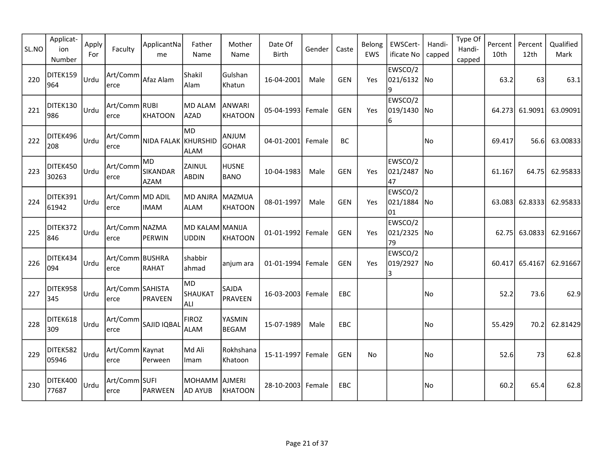| SL.NO | Applicat-<br>ion<br>Number | Apply<br>For | Faculty                    | ApplicantNa<br>me                    | Father<br>Name                  | Mother<br>Name                  | Date Of<br><b>Birth</b> | Gender | Caste      | Belong<br>EWS | EWSCert-<br>ificate No       | Handi-<br>capped | Type Of<br>Handi-<br>capped | Percent<br>10th | Percent<br>12th | Qualified<br>Mark |
|-------|----------------------------|--------------|----------------------------|--------------------------------------|---------------------------------|---------------------------------|-------------------------|--------|------------|---------------|------------------------------|------------------|-----------------------------|-----------------|-----------------|-------------------|
| 220   | DITEK159<br>964            | Urdu         | Art/Comm<br>lerce          | Afaz Alam                            | Shakil<br>Alam                  | Gulshan<br>Khatun               | 16-04-2001              | Male   | <b>GEN</b> | Yes           | EWSCO/2<br>021/6132 No<br>9  |                  |                             | 63.2            | 63              | 63.1              |
| 221   | DITEK130<br>986            | Urdu         | Art/Comm RUBI <br>lerce    | KHATOON                              | MD ALAM<br>AZAD                 | <b>ANWARI</b><br><b>KHATOON</b> | 05-04-1993 Female       |        | <b>GEN</b> | Yes           | EWSCO/2<br>019/1430 No<br>6  |                  |                             | 64.273          | 61.9091         | 63.09091          |
| 222   | DITEK496<br>208            | Urdu         | Art/Comm<br>erce           | NIDA FALAK KHURSHID                  | MD.<br><b>ALAM</b>              | <b>ANJUM</b><br><b>GOHAR</b>    | 04-01-2001 Female       |        | BC         |               |                              | No)              |                             | 69.417          | 56.6l           | 63.00833          |
| 223   | DITEK450<br>30263          | Urdu         | Art/Comm<br>erce           | MD<br><b>SIKANDAR</b><br><b>AZAM</b> | ZAINUL<br><b>ABDIN</b>          | <b>HUSNE</b><br><b>BANO</b>     | 10-04-1983              | Male   | <b>GEN</b> | Yes           | EWSCO/2<br>021/2487 No<br>47 |                  |                             | 61.167          | 64.75           | 62.95833          |
| 224   | DITEK391<br>61942          | Urdu         | Art/Comm MD ADIL<br>erce   | <b>IMAM</b>                          | <b>MD ANJRA</b><br><b>ALAM</b>  | MAZMUA<br><b>KHATOON</b>        | 08-01-1997              | Male   | <b>GEN</b> | Yes           | EWSCO/2<br>021/1884<br>01    | lNo              |                             | 63.083          | 62.8333         | 62.95833          |
| 225   | DITEK372<br>846            | Urdu         | Art/Comm NAZMA<br>erce     | PERWIN                               | MD KALAM MANIJA<br><b>UDDIN</b> | <b>KHATOON</b>                  | 01-01-1992 Female       |        | <b>GEN</b> | Yes           | EWSCO/2<br>021/2325 No<br>79 |                  |                             | 62.75           | 63.0833         | 62.91667          |
| 226   | DITEK434<br>094            | Urdu         | Art/Comm BUSHRA<br>erce    | RAHAT                                | shabbir<br>ahmad                | anjum ara                       | 01-01-1994 Female       |        | <b>GEN</b> | Yes           | EWSCO/2<br>019/2927 No<br>3  |                  |                             | 60.417          | 65.4167         | 62.91667          |
| 227   | DITEK958<br>345            | Urdu         | Art/Comm SAHISTA<br>erce   | PRAVEEN                              | MD)<br>SHAUKAT<br>ALI           | SAJDA<br><b>PRAVEEN</b>         | 16-03-2003 Female       |        | <b>EBC</b> |               |                              | No)              |                             | 52.2            | 73.6            | 62.9              |
| 228   | DITEK618<br>309            | Urdu         | Art/Comm<br>erce           | SAJID IQBAL                          | <b>FIROZ</b><br>ALAM            | YASMIN<br><b>BEGAM</b>          | 15-07-1989              | Male   | <b>EBC</b> |               |                              | No               |                             | 55.429          | 70.2            | 62.81429          |
| 229   | DITEK582<br>05946          | Urdu         | Art/Comm   Kaynat<br>lerce | Perween                              | Md Ali<br>Imam                  | Rokhshana<br>Khatoon            | 15-11-1997 Female       |        | <b>GEN</b> | No            |                              | No               |                             | 52.6            | 73              | 62.8              |
| 230   | DITEK400<br>77687          | Urdu         | Art/Comm SUFI<br>erce      | PARWEEN                              | MOHAMM<br>AD AYUB               | <b>AJMERI</b><br><b>KHATOON</b> | 28-10-2003 Female       |        | EBC        |               |                              | No               |                             | 60.2            | 65.4            | 62.8              |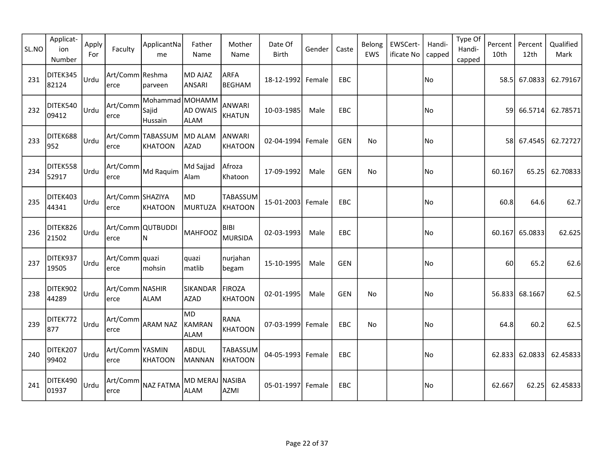| SL.NO | Applicat-<br>ion<br>Number | Apply<br>For | Faculty                  | ApplicantNa<br>me                    | Father<br>Name                 | Mother<br>Name                    | Date Of<br>Birth  | Gender | Caste      | Belong<br><b>EWS</b> | EWSCert-<br>ificate No | Handi-<br>capped | Type Of<br>Handi-<br>capped | Percent<br>10th | Percent<br>12th | Qualified<br>Mark |
|-------|----------------------------|--------------|--------------------------|--------------------------------------|--------------------------------|-----------------------------------|-------------------|--------|------------|----------------------|------------------------|------------------|-----------------------------|-----------------|-----------------|-------------------|
| 231   | DITEK345<br>82124          | <b>Urdu</b>  | Art/Comm Reshma<br>erce  | parveen                              | <b>MD AJAZ</b><br>ANSARI       | <b>ARFA</b><br><b>BEGHAM</b>      | 18-12-1992 Female |        | EBC        |                      |                        | No               |                             | 58.5l           | 67.0833         | 62.79167          |
| 232   | DITEK540<br>09412          | Urdu         | Art/Comm<br>erce         | Mohammad MOHAMM<br>Sajid<br>Hussain  | AD OWAIS<br>ALAM               | <b>ANWARI</b><br><b>KHATUN</b>    | 10-03-1985        | Male   | EBC        |                      |                        | No               |                             |                 | 59 66.5714      | 62.78571          |
| 233   | DITEK688<br>952            | <b>Urdu</b>  | erce                     | Art/Comm TABASSUM MD ALAM<br>KHATOON | AZAD                           | <b>ANWARI</b><br><b>KHATOON</b>   | 02-04-1994 Female |        | GEN        | No                   |                        | No               |                             |                 | 58 67.4545      | 62.72727          |
| 234   | DITEK558<br>52917          | Urdu         | Art/Comm<br>erce         | Md Raquim                            | Md Sajjad<br>Alam              | Afroza<br>Khatoon                 | 17-09-1992        | Male   | <b>GEN</b> | No                   |                        | No               |                             | 60.167          | 65.25           | 62.70833          |
| 235   | DITEK403<br>44341          | Urdu         | Art/Comm SHAZIYA<br>erce | KHATOON                              | <b>MD</b><br>MURTUZA           | <b>TABASSUM</b><br><b>KHATOON</b> | 15-01-2003 Female |        | EBC        |                      |                        | No               |                             | 60.8            | 64.6            | 62.7              |
| 236   | DITEK826<br>21502          | Urdu         | erce                     | Art/Comm QUTBUDDI<br>ΙN              | <b>MAHFOOZ</b>                 | <b>BIBI</b><br><b>MURSIDA</b>     | 02-03-1993        | Male   | EBC        |                      |                        | No               |                             | 60.167          | 65.0833         | 62.625            |
| 237   | DITEK937<br>19505          | <b>Urdu</b>  | Art/Comm quazi<br>erce   | mohsin                               | quazi<br>matlib                | nurjahan<br>begam                 | 15-10-1995        | Male   | <b>GEN</b> |                      |                        | No               |                             | 60              | 65.2            | 62.6              |
| 238   | DITEK902<br>44289          | <b>Urdu</b>  | Art/Comm NASHIR<br>erce  | <b>ALAM</b>                          | <b>SIKANDAR</b><br><b>AZAD</b> | FIROZA<br><b>KHATOON</b>          | 02-01-1995        | Male   | <b>GEN</b> | No                   |                        | No               |                             | 56.833          | 68.1667         | 62.5              |
| 239   | DITEK772<br>877            | Urdu         | Art/Comm<br>erce         | <b>ARAM NAZ</b>                      | MD.<br>KAMRAN<br><b>ALAM</b>   | <b>RANA</b><br><b>KHATOON</b>     | 07-03-1999 Female |        | EBC        | No                   |                        | No               |                             | 64.8            | 60.2            | 62.5              |
| 240   | DITEK207<br>99402          | <b>Urdu</b>  | Art/Comm YASMIN<br>erce  | KHATOON                              | ABDUL<br>MANNAN                | TABASSUM<br><b>KHATOON</b>        | 04-05-1993 Female |        | EBC        |                      |                        | No               |                             | 62.833          | 62.0833         | 62.45833          |
| 241   | DITEK490<br>01937          | <b>Urdu</b>  | erce                     | Art/Comm NAZ FATMA                   | MD MERAJ NASIBA<br><b>ALAM</b> | AZMI                              | 05-01-1997 Female |        | EBC        |                      |                        | No               |                             | 62.667          | 62.25           | 62.45833          |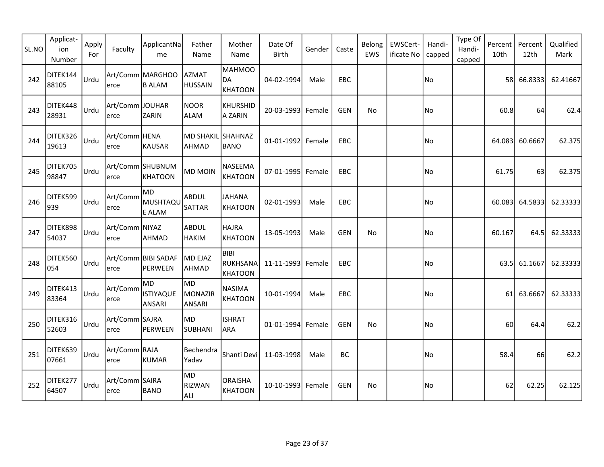| SL.NO | Applicat-<br>ion<br>Number | Apply<br>For | Faculty                 | ApplicantNa<br>me                              | Father<br>Name             | Mother<br>Name                             | Date Of<br><b>Birth</b> | Gender | Caste      | Belong<br>EWS | EWSCert-<br>ificate No | Handi-<br>capped | Type Of<br>Handi-<br>capped | Percent<br>10th | Percent<br>12th | Qualified<br>Mark |
|-------|----------------------------|--------------|-------------------------|------------------------------------------------|----------------------------|--------------------------------------------|-------------------------|--------|------------|---------------|------------------------|------------------|-----------------------------|-----------------|-----------------|-------------------|
| 242   | DITEK144<br>88105          | <b>Urdu</b>  | erce                    | Art/Comm MARGHOO<br><b>B ALAM</b>              | AZMAT<br><b>HUSSAIN</b>    | <b>MAHMOO</b><br>DA<br><b>KHATOON</b>      | 04-02-1994              | Male   | EBC        |               |                        | No               |                             | 58 l            | 66.8333         | 62.41667          |
| 243   | DITEK448<br>28931          | <b>Urdu</b>  | Art/Comm JOUHAR<br>erce | <b>ZARIN</b>                                   | NOOR<br>ALAM               | KHURSHID<br>A ZARIN                        | 20-03-1993 Female       |        | <b>GEN</b> | No            |                        | No)              |                             | 60.8            | 64              | 62.4              |
| 244   | DITEK326<br>19613          | Urdu         | Art/Comm HENA<br>erce   | KAUSAR                                         | MD SHAKIL SHAHNAZ<br>AHMAD | <b>BANO</b>                                | 01-01-1992 Female       |        | EBC        |               |                        | No               |                             | 64.083          | 60.6667         | 62.375            |
| 245   | DITEK705<br>98847          | Urdu         | erce                    | Art/Comm SHUBNUM<br>KHATOON                    | <b>MD MOIN</b>             | NASEEMA<br><b>KHATOON</b>                  | 07-01-1995 Female       |        | EBC        |               |                        | No               |                             | 61.75           | 63              | 62.375            |
| 246   | DITEK599<br>939            | Urdu         | Art/Comm<br>erce        | MD.<br>MUSHTAQU<br>E ALAM                      | ABDUL<br>SATTAR            | <b>JAHANA</b><br><b>KHATOON</b>            | 02-01-1993              | Male   | <b>EBC</b> |               |                        | No)              |                             | 60.083          | 64.5833         | 62.33333          |
| 247   | DITEK898<br>54037          | <b>Urdu</b>  | Art/Comm NIYAZ<br>erce  | AHMAD                                          | ABDUL<br><b>HAKIM</b>      | <b>HAJRA</b><br><b>KHATOON</b>             | 13-05-1993              | Male   | <b>GEN</b> | No            |                        | No               |                             | 60.167          | 64.5            | 62.33333          |
| 248   | DITEK560<br>054            | <b>Urdu</b>  | erce                    | Art/Comm BIBI SADAF<br>PERWEEN                 | MD EJAZ<br>AHMAD           | <b>BIBI</b><br>RUKHSANA <br><b>KHATOON</b> | 11-11-1993 Female       |        | EBC        |               |                        | No               |                             | 63.5            | 61.1667         | 62.33333          |
| 249   | DITEK413<br>83364          | Urdu         | Art/Comm<br>erce        | <b>MD</b><br><b>ISTIYAQUE</b><br><b>ANSARI</b> | lMD.<br>MONAZIR<br>ANSARI  | <b>NASIMA</b><br><b>KHATOON</b>            | 10-01-1994              | Male   | EBC        |               |                        | No               |                             | 61              | 63.6667         | 62.33333          |
| 250   | DITEK316<br>52603          | <b>Urdu</b>  | Art/Comm SAJRA<br>erce  | PERWEEN                                        | MD<br><b>SUBHANI</b>       | <b>ISHRAT</b><br><b>ARA</b>                | 01-01-1994 Female       |        | <b>GEN</b> | No            |                        | No               |                             | 60              | 64.4            | 62.2              |
| 251   | DITEK639<br>07661          | Urdu         | Art/Comm RAJA<br>erce   | KUMAR                                          | Bechendra<br>Yadav         | Shanti Devi                                | 11-03-1998              | Male   | <b>BC</b>  |               |                        | No               |                             | 58.4            | 66              | 62.2              |
| 252   | DITEK277<br>64507          | <b>Urdu</b>  | Art/Comm SAIRA<br>erce  | <b>BANO</b>                                    | MD<br>RIZWAN<br><b>ALI</b> | <b>ORAISHA</b><br><b>KHATOON</b>           | 10-10-1993 Female       |        | <b>GEN</b> | No            |                        | No               |                             | 62              | 62.25           | 62.125            |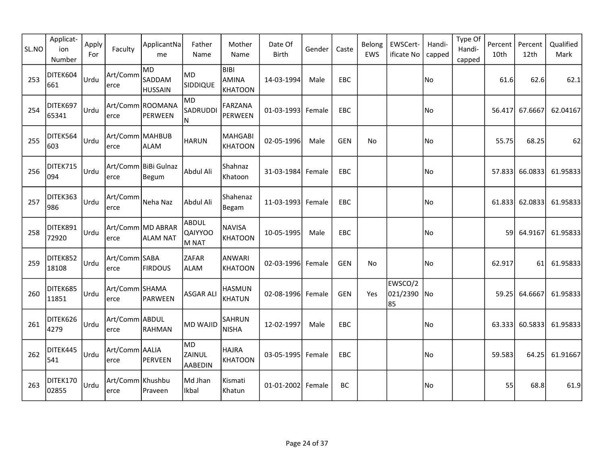| SL.NO | Applicat-<br>ion<br>Number | Apply<br>For | Faculty                   | ApplicantNa<br>me              | Father<br>Name                   | Mother<br>Name                                | Date Of<br><b>Birth</b> | Gender | Caste      | Belong<br>EWS | EWSCert-<br>ificate No       | Handi-<br>capped | Type Of<br>Handi-<br>capped | Percent<br>10th | Percent<br>12th | Qualified<br>Mark |
|-------|----------------------------|--------------|---------------------------|--------------------------------|----------------------------------|-----------------------------------------------|-------------------------|--------|------------|---------------|------------------------------|------------------|-----------------------------|-----------------|-----------------|-------------------|
| 253   | DITEK604<br>661            | Urdu         | Art/Comm<br>lerce         | MD<br>SADDAM<br><b>HUSSAIN</b> | MD)<br><b>SIDDIQUE</b>           | <b>BIBI</b><br><b>AMINA</b><br><b>KHATOON</b> | 14-03-1994              | Male   | EBC        |               |                              | No               |                             | 61.6            | 62.6            | 62.1              |
| 254   | DITEK697<br>65341          | Urdu         | lerce                     | Art/Comm ROOMANA<br>PERWEEN    | <b>MD</b><br>SADRUDDI<br>ΙN      | <b>FARZANA</b><br>PERWEEN                     | 01-03-1993 Female       |        | EBC        |               |                              | No)              |                             | 56.417          | 67.6667         | 62.04167          |
| 255   | DITEK564<br>603            | Urdu         | Art/Comm MAHBUB<br>erce   | <b>ALAM</b>                    | <b>HARUN</b>                     | <b>MAHGABI</b><br><b>KHATOON</b>              | 02-05-1996              | Male   | <b>GEN</b> | No            |                              | No               |                             | 55.75           | 68.25           | 62                |
| 256   | DITEK715<br>094            | Urdu         | erce                      | Art/Comm BiBi Gulnaz<br>Begum  | Abdul Ali                        | Shahnaz<br>Khatoon                            | 31-03-1984 Female       |        | EBC        |               |                              | No               |                             | 57.833          | 66.0833         | 61.95833          |
| 257   | DITEK363<br>986            | Urdu         | Art/Comm<br>erce          | Neha Naz                       | Abdul Ali                        | Shahenaz<br>Begam                             | 11-03-1993 Female       |        | EBC        |               |                              | No)              |                             | 61.833          | 62.0833         | 61.95833          |
| 258   | DITEK891<br>72920          | Urdu         | erce                      | Art/Comm MD ABRAR<br>ALAM NAT  | <b>ABDUL</b><br>QAIYYOO<br>M NAT | <b>NAVISA</b><br><b>KHATOON</b>               | 10-05-1995              | Male   | <b>EBC</b> |               |                              | No.              |                             | 59l             | 64.9167         | 61.95833          |
| 259   | DITEK852<br>18108          | Urdu         | Art/Comm SABA<br>erce     | <b>FIRDOUS</b>                 | <b>ZAFAR</b><br><b>ALAM</b>      | <b>ANWARI</b><br><b>KHATOON</b>               | 02-03-1996 Female       |        | <b>GEN</b> | No            |                              | No               |                             | 62.917          | 61 I            | 61.95833          |
| 260   | DITEK685<br>11851          | Urdu         | Art/Comm SHAMA<br>erce    | PARWEEN                        | <b>ASGAR ALI</b>                 | <b>HASMUN</b><br><b>KHATUN</b>                | 02-08-1996 Female       |        | <b>GEN</b> | Yes           | EWSCO/2<br>021/2390 No<br>85 |                  |                             | 59.25           | 64.6667         | 61.95833          |
| 261   | DITEK626<br>4279           | Urdu         | Art/Comm ABDUL<br>lerce   | <b>RAHMAN</b>                  | <b>MD WAJID</b>                  | <b>SAHRUN</b><br><b>NISHA</b>                 | 12-02-1997              | Male   | EBC        |               |                              | No               |                             | 63.333          | 60.5833         | 61.95833          |
| 262   | DITEK445<br>541            | Urdu         | Art/Comm AALIA<br>lerce   | PERVEEN                        | lMD.<br>ZAINUL<br><b>AABEDIN</b> | <b>HAJRA</b><br><b>KHATOON</b>                | 03-05-1995 Female       |        | EBC        |               |                              | No)              |                             | 59.583          | 64.25           | 61.91667          |
| 263   | DITEK170<br>02855          | Urdu         | Art/Comm Khushbu<br>lerce | Praveen                        | Md Jhan<br>Ikbal                 | Kismati<br>Khatun                             | $01 - 01 - 2002$        | Female | BC         |               |                              | No               |                             | 55              | 68.8            | 61.9              |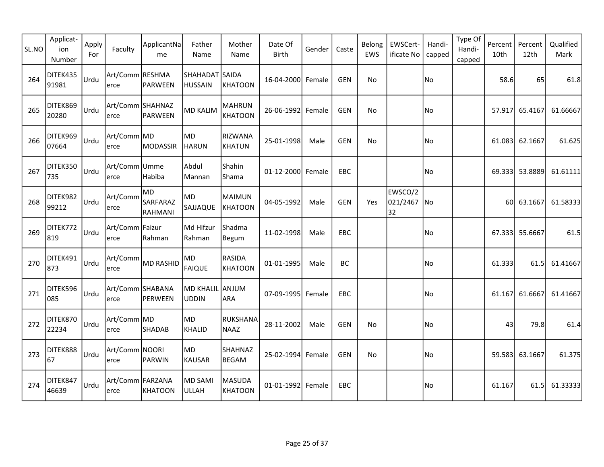| SL.NO | Applicat-<br>ion<br>Number | Apply<br>For | Faculty                  | ApplicantNa<br>me                 | Father<br>Name                   | Mother<br>Name                  | Date Of<br><b>Birth</b> | Gender | Caste      | Belong<br><b>EWS</b> | EWSCert-<br>ificate No       | Handi-<br>capped | Type Of<br>Handi-<br>capped | Percent<br>10th | Percent<br>12 <sub>th</sub> | Qualified<br>Mark |
|-------|----------------------------|--------------|--------------------------|-----------------------------------|----------------------------------|---------------------------------|-------------------------|--------|------------|----------------------|------------------------------|------------------|-----------------------------|-----------------|-----------------------------|-------------------|
| 264   | DITEK435<br>91981          | Urdu         | Art/Comm RESHMA<br>erce  | PARWEEN                           | SHAHADAT SAIDA<br><b>HUSSAIN</b> | <b>KHATOON</b>                  | 16-04-2000 Female       |        | <b>GEN</b> | <b>No</b>            |                              | No               |                             | 58.6            | 65                          | 61.8              |
| 265   | DITEK869<br>20280          | <b>Urdu</b>  | Art/Comm SHAHNAZ<br>erce | PARWEEN                           | <b>MD KALIM</b>                  | <b>MAHRUN</b><br><b>KHATOON</b> | 26-06-1992 Female       |        | <b>GEN</b> | No                   |                              | No               |                             | 57.917          | 65.4167                     | 61.66667          |
| 266   | DITEK969<br>07664          | lUrdu        | Art/Comm MD<br>erce      | MODASSIR                          | MD<br><b>HARUN</b>               | <b>RIZWANA</b><br><b>KHATUN</b> | 25-01-1998              | Male   | <b>GEN</b> | No                   |                              | No               |                             | 61.083          | 62.1667                     | 61.625            |
| 267   | DITEK350<br>735            | <b>Urdu</b>  | Art/Comm Umme<br>erce    | Habiba                            | Abdul<br>Mannan                  | Shahin<br>Shama                 | 01-12-2000 Female       |        | EBC        |                      |                              | No               |                             |                 | 69.333 53.8889              | 61.61111          |
| 268   | DITEK982<br>99212          | <b>Urdu</b>  | Art/Comm<br>erce         | MD.<br>SARFARAZ<br><b>RAHMANI</b> | MD.<br><b>SAJJAQUE</b>           | <b>MAIMUN</b><br><b>KHATOON</b> | 04-05-1992              | Male   | <b>GEN</b> | Yes                  | EWSCO/2<br>021/2467 No<br>32 |                  |                             |                 | 60 63.1667                  | 61.58333          |
| 269   | DITEK772<br>819            | Urdu         | Art/Comm Faizur<br>erce  | Rahman                            | Md Hifzur<br>Rahman              | Shadma<br>Begum                 | 11-02-1998              | Male   | EBC        |                      |                              | No)              |                             |                 | 67.333 55.6667              | 61.5              |
| 270   | DITEK491<br>873            | <b>Urdu</b>  | Art/Comm<br>erce         | MD RASHID                         | <b>MD</b><br><b>FAIQUE</b>       | <b>RASIDA</b><br><b>KHATOON</b> | 01-01-1995              | Male   | BC         |                      |                              | No               |                             | 61.333          | 61.5                        | 61.41667          |
| 271   | DITEK596<br>085            | l∪rdu        | Art/Comm SHABANA<br>erce | PERWEEN                           | MD KHALIL ANJUM<br><b>UDDIN</b>  | <b>ARA</b>                      | 07-09-1995              | Female | EBC        |                      |                              | No               |                             | 61.167          | 61.6667                     | 61.41667          |
| 272   | DITEK870<br>22234          | <b>Urdu</b>  | Art/Comm MD<br>erce      | <b>SHADAB</b>                     | MD<br>KHALID                     | <b>RUKSHANA</b><br><b>NAAZ</b>  | 28-11-2002              | Male   | <b>GEN</b> | No                   |                              | No               |                             | 43              | 79.8                        | 61.4              |
| 273   | DITEK888<br>67             | Urdu         | Art/Comm NOORI<br>erce   | PARWIN                            | MD<br>KAUSAR                     | SHAHNAZ<br><b>BEGAM</b>         | 25-02-1994 Female       |        | <b>GEN</b> | <b>No</b>            |                              | No               |                             | 59.583          | 63.1667                     | 61.375            |
| 274   | DITEK847<br>46639          | Urdu         | Art/Comm FARZANA<br>erce | KHATOON                           | MD SAMI<br>ULLAH                 | <b>MASUDA</b><br><b>KHATOON</b> | 01-01-1992 Female       |        | EBC        |                      |                              | No               |                             | 61.167          | 61.5                        | 61.33333          |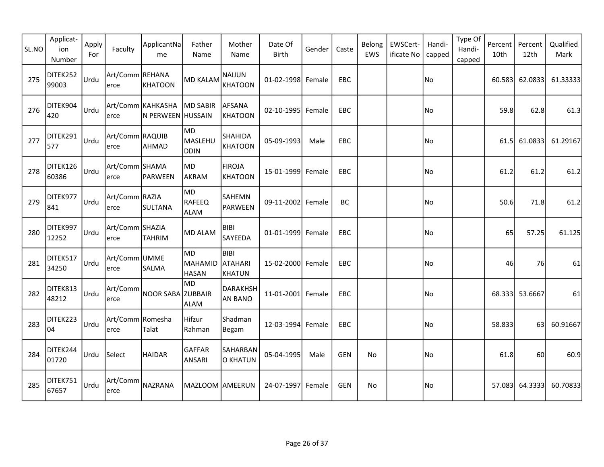| SL.NO | Applicat-<br>ion<br>Number | Apply<br>For | Faculty                  | ApplicantNa<br>me                      | Father<br>Name                      | Mother<br>Name                                 | Date Of<br><b>Birth</b> | Gender | Caste      | Belong<br><b>EWS</b> | EWSCert-<br>ificate No | Handi-<br>capped | Type Of<br>Handi-<br>capped | Percent<br>10th | Percent<br>12th | Qualified<br>Mark |
|-------|----------------------------|--------------|--------------------------|----------------------------------------|-------------------------------------|------------------------------------------------|-------------------------|--------|------------|----------------------|------------------------|------------------|-----------------------------|-----------------|-----------------|-------------------|
| 275   | DITEK252<br>99003          | Urdu         | Art/Comm REHANA<br>erce  | KHATOON                                | <b>MD KALAM</b>                     | <b>NAIJUN</b><br><b>KHATOON</b>                | 01-02-1998 Female       |        | EBC        |                      |                        | No)              |                             | 60.583          | 62.0833         | 61.33333          |
| 276   | DITEK904<br>420            | <b>Urdu</b>  | erce                     | Art/Comm KAHKASHA<br>N PERWEEN HUSSAIN | MD SABIR                            | <b>AFSANA</b><br><b>KHATOON</b>                | 02-10-1995 Female       |        | EBC        |                      |                        | No               |                             | 59.8            | 62.8            | 61.3              |
| 277   | DITEK291<br>577            | lUrdu        | Art/Comm RAQUIB<br>erce  | AHMAD                                  | <b>MD</b><br>MASLEHU<br><b>DDIN</b> | SHAHIDA<br><b>KHATOON</b>                      | 05-09-1993              | Male   | <b>EBC</b> |                      |                        | No               |                             | 61.5            | 61.0833         | 61.29167          |
| 278   | DITEK126<br>60386          | Urdu         | Art/Comm SHAMA<br>erce   | PARWEEN                                | <b>IMD</b><br>AKRAM                 | <b>FIROJA</b><br><b>KHATOON</b>                | 15-01-1999              | Female | EBC        |                      |                        | No               |                             | 61.2            | 61.2            | 61.2              |
| 279   | DITEK977<br>841            | Urdu         | Art/Comm RAZIA<br>erce   | SULTANA                                | MD<br>RAFEEQ<br><b>ALAM</b>         | SAHEMN<br><b>PARWEEN</b>                       | 09-11-2002              | Female | BC         |                      |                        | No               |                             | 50.6            | 71.8            | 61.2              |
| 280   | DITEK997<br>12252          | <u>lurdu</u> | Art/Comm SHAZIA<br>erce  | <b>TAHRIM</b>                          | <b>MD ALAM</b>                      | <b>BIBI</b><br>SAYEEDA                         | 01-01-1999 Female       |        | EBC        |                      |                        | No)              |                             | 65              | 57.25           | 61.125            |
| 281   | DITEK517<br>34250          | lUrdu        | Art/Comm UMME<br>erce    | <b>SALMA</b>                           | MD.<br>MAHAMID<br><b>HASAN</b>      | <b>BIBI</b><br><b>ATAHARI</b><br><b>KHATUN</b> | 15-02-2000 Female       |        | EBC        |                      |                        | No               |                             | 46              | 76              | 61                |
| 282   | DITEK813<br>48212          | Urdu         | Art/Comm<br>erce         | NOOR SABA ZUBBAIR                      | <b>MD</b><br><b>ALAM</b>            | <b>DARAKHSH</b><br><b>AN BANO</b>              | 11-01-2001              | Female | EBC        |                      |                        | No               |                             |                 | 68.333 53.6667  | 61                |
| 283   | DITEK223<br>04             | Urdu         | Art/Comm Romesha<br>erce | Talat                                  | Hifzur<br>Rahman                    | Shadman<br>Begam                               | 12-03-1994 Female       |        | <b>EBC</b> |                      |                        | No               |                             | 58.833          | 63I             | 60.91667          |
| 284   | DITEK244<br>01720          | Urdu         | Select                   | <b>HAIDAR</b>                          | GAFFAR<br>ANSARI                    | SAHARBAN<br><b>O KHATUN</b>                    | 05-04-1995              | Male   | <b>GEN</b> | No                   |                        | No               |                             | 61.8            | 60              | 60.9              |
| 285   | DITEK751<br>67657          | Urdu         | Art/Comm<br>erce         | NAZRANA                                | MAZLOOM AMEERUN                     |                                                | 24-07-1997              | Female | <b>GEN</b> | No                   |                        | No               |                             | 57.083          | 64.3333         | 60.70833          |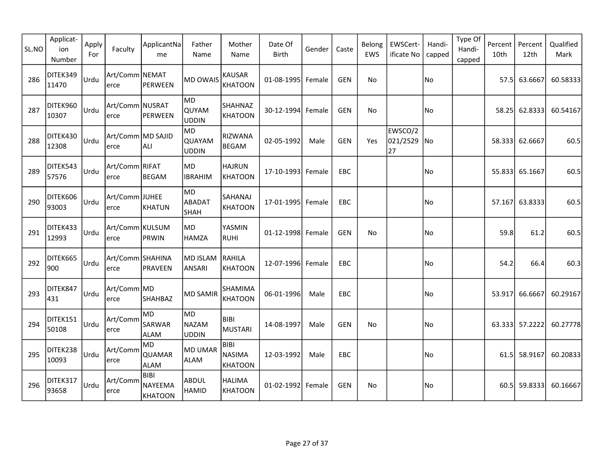| SL.NO | Applicat-<br>ion<br>Number | Apply<br>For | Faculty                   | ApplicantNa<br>me                    | Father<br>Name                       | Mother<br>Name                                 | Date Of<br>Birth  | Gender | Caste      | Belong<br>EWS | EWSCert-<br>ificate No    | Handi-<br>capped | Type Of<br>Handi-<br>capped | Percent<br>10th | Percent<br>12th | Qualified<br>Mark |
|-------|----------------------------|--------------|---------------------------|--------------------------------------|--------------------------------------|------------------------------------------------|-------------------|--------|------------|---------------|---------------------------|------------------|-----------------------------|-----------------|-----------------|-------------------|
| 286   | DITEK349<br>11470          | Urdu         | Art/Comm NEMAT<br>lerce   | PERWEEN                              | MD OWAIS                             | <b>KAUSAR</b><br><b>KHATOON</b>                | 01-08-1995 Female |        | <b>GEN</b> | No            |                           | No               |                             | 57.5            | 63.6667         | 60.58333          |
| 287   | DITEK960<br>10307          | Urdu         | Art/Comm NUSRAT<br>lerce  | PERWEEN                              | MD.<br>QUYAM<br>UDDIN                | SHAHNAZ<br>KHATOON                             | 30-12-1994 Female |        | <b>GEN</b> | No            |                           | No               |                             | 58.25           | 62.8333         | 60.54167          |
| 288   | DITEK430<br>12308          | Urdu         | Art/Comm MD SAJID<br>erce | ALI                                  | MD)<br><b>QUAYAM</b><br><b>UDDIN</b> | RIZWANA<br><b>BEGAM</b>                        | 02-05-1992        | Male   | <b>GEN</b> | Yes           | EWSCO/2<br>021/2529<br>27 | <b>No</b>        |                             | 58.333          | 62.6667         | 60.5              |
| 289   | DITEK543<br>57576          | Urdu         | Art/Comm RIFAT<br>erce    | BEGAM                                | MD)<br><b>IBRAHIM</b>                | <b>HAJRUN</b><br><b>KHATOON</b>                | 17-10-1993 Female |        | EBC        |               |                           | No               |                             |                 | 55.833 65.1667  | 60.5              |
| 290   | DITEK606<br>93003          | Urdu         | Art/Comm JUHEE<br>erce    | KHATUN                               | MD<br>ABADAT<br> SHAH                | <b>SAHANAJ</b><br><b>KHATOON</b>               | 17-01-1995 Female |        | EBC        |               |                           | No               |                             | 57.167          | 63.8333         | 60.5              |
| 291   | DITEK433<br>12993          | Urdu         | Art/Comm KULSUM<br>erce   | PRWIN                                | MD<br>HAMZA                          | YASMIN<br>RUHI                                 | 01-12-1998 Female |        | <b>GEN</b> | No            |                           | No.              |                             | 59.8            | 61.2            | 60.5              |
| 292   | DITEK665<br>900            | Urdu         | Art/Comm SHAHINA<br>erce  | PRAVEEN                              | MD ISLAM<br>ANSARI                   | RAHILA<br><b>KHATOON</b>                       | 12-07-1996 Female |        | EBC        |               |                           | No               |                             | 54.2            | 66.4            | 60.3              |
| 293   | DITEK847<br>431            | Urdu         | Art/Comm MD <br>erce      | <b>SHAHBAZ</b>                       | <b>MD SAMIR</b>                      | SHAMIMA<br><b>KHATOON</b>                      | 06-01-1996        | Male   | EBC        |               |                           | No               |                             | 53.917          | 66.6667         | 60.29167          |
| 294   | DITEK151<br>50108          | Urdu         | Art/Comm<br>erce          | lmd.<br><b>SARWAR</b><br><b>ALAM</b> | MD)<br>NAZAM<br>UDDIN                | <b>BIBI</b><br>MUSTARI                         | 14-08-1997        | Male   | <b>GEN</b> | No            |                           | No               |                             |                 | 63.333 57.2222  | 60.27778          |
| 295   | DITEK238<br>10093          | Urdu         | Art/Comm<br>lerce         | MD<br><b>QUAMAR</b><br><b>ALAM</b>   | MD UMAR<br>ALAM                      | <b>BIBI</b><br><b>NASIMA</b><br><b>KHATOON</b> | 12-03-1992        | Male   | EBC        |               |                           | No               |                             |                 | 61.5 58.9167    | 60.20833          |
| 296   | DITEK317<br>93658          | Urdu         | Art/Comm<br>erce          | BIBI<br>NAYEEMA<br>KHATOON           | <b>ABDUL</b><br>HAMID                | <b>HALIMA</b><br>KHATOON                       | 01-02-1992 Female |        | <b>GEN</b> | No            |                           | No               |                             | 60.5            | 59.8333         | 60.16667          |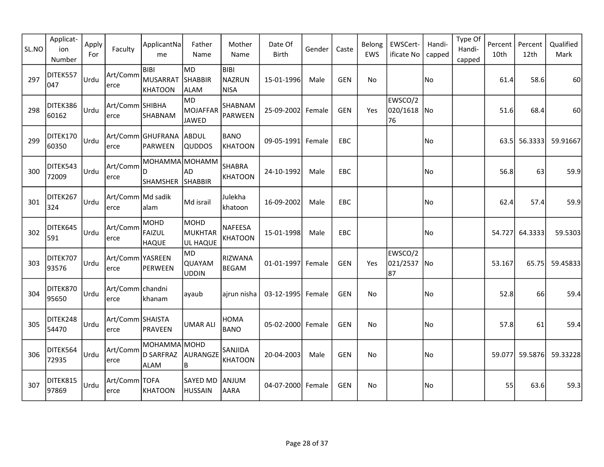| SL.NO | Applicat-<br>ion<br>Number | Apply<br>For | Faculty                   | ApplicantNa<br>me                       | Father<br>Name                      | Mother<br>Name                              | Date Of<br><b>Birth</b> | Gender | Caste      | Belong<br>EWS | EWSCert-<br>ificate No       | Handi-<br>capped | Type Of<br>Handi-<br>capped | Percent<br>10th | Percent<br>12th | Qualified<br>Mark |
|-------|----------------------------|--------------|---------------------------|-----------------------------------------|-------------------------------------|---------------------------------------------|-------------------------|--------|------------|---------------|------------------------------|------------------|-----------------------------|-----------------|-----------------|-------------------|
| 297   | DITEK557<br>047            | Urdu         | Art/Comm<br>erce          | BIBI<br>MUSARRAT<br>KHATOON             | MD)<br>SHABBIR<br><b>ALAM</b>       | <b>BIBI</b><br><b>NAZRUN</b><br><b>NISA</b> | 15-01-1996              | Male   | <b>GEN</b> | No            |                              | No               |                             | 61.4            | 58.6            | 60                |
| 298   | DITEK386<br>60162          | Urdu         | Art/Comm SHIBHA<br>erce   | SHABNAM                                 | lmd.<br>MOJAFFAR<br>JAWED           | SHABNAM<br><b>PARWEEN</b>                   | 25-09-2002              | Female | <b>GEN</b> | Yes           | EWSCO/2<br>020/1618 No<br>76 |                  |                             | 51.6            | 68.4            | 60                |
| 299   | DITEK170<br>60350          | Urdu         | erce                      | Art/Comm GHUFRANA ABDUL<br>PARWEEN      | <b>QUDDOS</b>                       | <b>BANO</b><br><b>KHATOON</b>               | 09-05-1991              | Female | EBC        |               |                              | No               |                             | 63.5            | 56.3333         | 59.91667          |
| 300   | DITEK543<br>72009          | Urdu         | Art/Comm<br>erce          | MOHAMMA MOHAMM<br>ID<br><b>SHAMSHER</b> | AD<br><b>SHABBIR</b>                | <b>SHABRA</b><br><b>KHATOON</b>             | 24-10-1992              | Male   | EBC        |               |                              | No               |                             | 56.8            | 63              | 59.9              |
| 301   | DITEK267<br>324            | Urdu         | Art/Comm Md sadik<br>erce | alam                                    | Md israil                           | Julekha<br>khatoon                          | 16-09-2002              | Male   | EBC        |               |                              | No               |                             | 62.4            | 57.4            | 59.9              |
| 302   | DITEK645<br>591            | Urdu         | Art/Comm<br>erce          | MOHD<br>FAIZUL<br><b>HAQUE</b>          | MOHD<br>MUKHTAR<br><b>UL HAQUE</b>  | NAFEESA<br><b>KHATOON</b>                   | 15-01-1998              | Male   | EBC        |               |                              | No               |                             | 54.727          | 64.3333         | 59.5303           |
| 303   | DITEK707<br>93576          | Urdu         | Art/Comm YASREEN<br>erce  | PERWEEN                                 | <b>MD</b><br>QUAYAM<br><b>UDDIN</b> | RIZWANA<br><b>BEGAM</b>                     | 01-01-1997              | Female | <b>GEN</b> | Yes           | EWSCO/2<br>021/2537 No<br>87 |                  |                             | 53.167          | 65.75           | 59.45833          |
| 304   | DITEK870<br>95650          | Urdu         | Art/Comm chandni<br>erce  | khanam                                  | ayaub                               | airun nisha                                 | 03-12-1995 Female       |        | <b>GEN</b> | <b>No</b>     |                              | No               |                             | 52.8            | 66              | 59.4              |
| 305   | DITEK248<br>54470          | Urdu         | Art/Comm SHAISTA<br>erce  | PRAVEEN                                 | <b>UMAR ALI</b>                     | <b>HOMA</b><br><b>BANO</b>                  | 05-02-2000 Female       |        | <b>GEN</b> | No            |                              | No               |                             | 57.8            | 61              | 59.4              |
| 306   | DITEK564<br>72935          | Urdu         | Art/Comm<br>erce          | MOHAMMA MOHD<br>D SARFRAZ<br>ALAM       | AURANGZE<br>B                       | SANJIDA<br><b>KHATOON</b>                   | 20-04-2003              | Male   | GEN        | No.           |                              | No               |                             | 59.077          | 59.5876         | 59.33228          |
| 307   | DITEK815<br>97869          | Urdu         | Art/Comm TOFA<br>erce     | KHATOON                                 | SAYED MD<br><b>HUSSAIN</b>          | ANJUM<br><b>AARA</b>                        | 04-07-2000 Female       |        | <b>GEN</b> | No            |                              | No               |                             | 55              | 63.6            | 59.3              |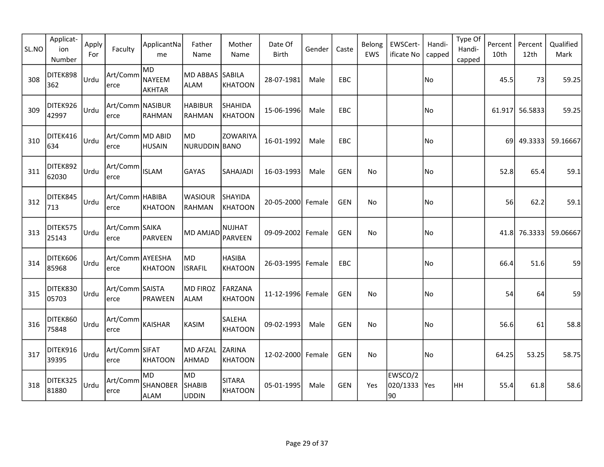| SL.NO | Applicat-<br>ion<br>Number | Apply<br>For | Faculty                           | ApplicantNa<br>me                    | Father<br>Name                | Mother<br>Name                   | Date Of<br><b>Birth</b> | Gender | Caste      | Belong<br>EWS | EWSCert-<br>ificate No    | Handi-<br>capped | Type Of<br>Handi-<br>capped | Percent<br>10th | Percent<br>12th | Qualified<br>Mark |
|-------|----------------------------|--------------|-----------------------------------|--------------------------------------|-------------------------------|----------------------------------|-------------------------|--------|------------|---------------|---------------------------|------------------|-----------------------------|-----------------|-----------------|-------------------|
| 308   | DITEK898<br>362            | Urdu         | Art/Comm<br>lerce                 | MD<br>NAYEEM<br>AKHTAR               | MD ABBAS<br>ALAM              | <b>SABILA</b><br><b>KHATOON</b>  | 28-07-1981              | Male   | <b>EBC</b> |               |                           | No               |                             | 45.5            | 73              | 59.25             |
| 309   | DITEK926<br>42997          | Urdu         | Art/Comm NASIBUR<br>lerce         | RAHMAN                               | <b>HABIBUR</b><br>RAHMAN      | <b>SHAHIDA</b><br><b>KHATOON</b> | 15-06-1996              | Male   | EBC        |               |                           | No               |                             |                 | 61.917 56.5833  | 59.25             |
| 310   | DITEK416<br>634            | Urdu         | Art/Comm MD ABID<br>lerce         | <b>HUSAIN</b>                        | MD.<br>NURUDDIN BANO          | <b>ZOWARIYA</b>                  | 16-01-1992              | Male   | <b>EBC</b> |               |                           | No)              |                             |                 | 69 49.3333      | 59.16667          |
| 311   | DITEK892<br>62030          | Urdu         | Art/Comm<br>lerce                 | <b>ISLAM</b>                         | <b>GAYAS</b>                  | SAHAJADI                         | 16-03-1993              | Male   | <b>GEN</b> | No            |                           | No               |                             | 52.8            | 65.4            | 59.1              |
| 312   | DITEK845<br>713            | Urdu         | Art/Comm HABIBA<br>lerce          | KHATOON                              | <b>WASIOUR</b><br>RAHMAN      | <b>SHAYIDA</b><br><b>KHATOON</b> | 20-05-2000 Female       |        | <b>GEN</b> | <b>No</b>     |                           | No               |                             | 56              | 62.2            | 59.1              |
| 313   | DITEK575<br>25143          | Urdu         | Art/Comm SAIKA<br>lerce           | PARVEEN                              | MD AMJAD                      | <b>NUJHAT</b><br><b>PARVEEN</b>  | 09-09-2002 Female       |        | <b>GEN</b> | No            |                           | No.              |                             | 41.8l           | 76.3333         | 59.06667          |
| 314   | DITEK606<br>85968          | Urdu         | Art/Comm AYEESHA<br>erce          | KHATOON                              | MD)<br><b>ISRAFIL</b>         | <b>HASIBA</b><br><b>KHATOON</b>  | 26-03-1995 Female       |        | EBC        |               |                           | No               |                             | 66.4            | 51.6            | 59                |
| 315   | DITEK830<br>05703          | Urdu         | Art/Comm SAISTA <br>erce          | PRAWEEN                              | MD FIROZ<br>ALAM              | <b>FARZANA</b><br><b>KHATOON</b> | 11-12-1996 Female       |        | <b>GEN</b> | No            |                           | No)              |                             | 54              | 64              | 59                |
| 316   | DITEK860<br>75848          | Urdu         | $\vert$ Art/Comm $\vert$<br>lerce | KAISHAR                              | <b>KASIM</b>                  | SALEHA<br><b>KHATOON</b>         | 09-02-1993              | Male   | <b>GEN</b> | No            |                           | No               |                             | 56.6            | 61              | 58.8              |
| 317   | DITEK916<br>39395          | Urdu         | Art/Comm SIFAT<br>lerce           | KHATOON                              | MD AFZAL<br>AHMAD             | <b>ZARINA</b><br><b>KHATOON</b>  | 12-02-2000 Female       |        | <b>GEN</b> | <b>No</b>     |                           | No               |                             | 64.25           | 53.25           | 58.75             |
| 318   | DITEK325<br>81880          | Urdu         | Art/Comm<br>lerce                 | MD<br><b>SHANOBER</b><br><b>ALAM</b> | MD <br><b>SHABIB</b><br>UDDIN | <b>SITARA</b><br><b>KHATOON</b>  | 05-01-1995              | Male   | GEN        | Yes           | EWSCO/2<br>020/1333<br>90 | Yes              | HH                          | 55.4            | 61.8            | 58.6              |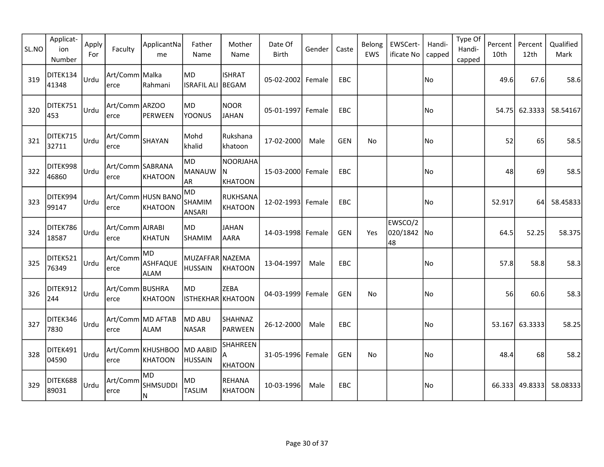| SL.NO | Applicat-<br>ion<br>Number | Apply<br>For | Faculty                  | ApplicantNa<br>me                     | Father<br>Name                    | Mother<br>Name                           | Date Of<br><b>Birth</b> | Gender | Caste      | Belong<br><b>EWS</b> | EWSCert-<br>ificate No       | Handi-<br>capped | Type Of<br>Handi-<br>capped | Percent<br>10th | Percent<br>12th | Qualified<br>Mark |
|-------|----------------------------|--------------|--------------------------|---------------------------------------|-----------------------------------|------------------------------------------|-------------------------|--------|------------|----------------------|------------------------------|------------------|-----------------------------|-----------------|-----------------|-------------------|
| 319   | DITEK134<br>41348          | <b>Urdu</b>  | Art/Comm Malka<br>erce   | Rahmani                               | MD<br>ISRAFIL ALI BEGAM           | <b>ISHRAT</b>                            | 05-02-2002 Female       |        | EBC        |                      |                              | No               |                             | 49.6            | 67.6            | 58.6              |
| 320   | DITEK751<br>453            | <u> Urdu</u> | Art/Comm ARZOO<br>erce   | PERWEEN                               | MD<br>YOONUS                      | <b>NOOR</b><br><b>JAHAN</b>              | 05-01-1997 Female       |        | EBC        |                      |                              | No               |                             | 54.75           | 62.3333         | 58.54167          |
| 321   | DITEK715<br>32711          | <b>Urdu</b>  | Art/Comm SHAYAN<br>erce  |                                       | Mohd<br>khalid                    | Rukshana<br>khatoon                      | 17-02-2000              | Male   | <b>GEN</b> | No                   |                              | No)              |                             | 52              | 65              | 58.5              |
| 322   | DITEK998<br>46860          | <b>Urdu</b>  | Art/Comm SABRANA<br>erce | KHATOON                               | <b>MD</b><br><b>MANAUW</b><br>AR  | <b>NOORJAHA</b><br>IN.<br><b>KHATOON</b> | 15-03-2000 Female       |        | EBC        |                      |                              | No               |                             | 48              | 69              | 58.5              |
| 323   | DITEK994<br>99147          | Urdu         | erce                     | Art/Comm HUSN BANO<br>KHATOON         | MD<br>SHAMIM<br>ANSARI            | <b>RUKHSANA</b><br><b>KHATOON</b>        | 12-02-1993 Female       |        | EBC        |                      |                              | No               |                             | 52.917          | 64              | 58.45833          |
| 324   | DITEK786<br>18587          | <b>Urdu</b>  | Art/Comm AJRABI<br>erce  | KHATUN                                | MD<br><b>SHAMIM</b>               | <b>JAHAN</b><br><b>AARA</b>              | 14-03-1998 Female       |        | <b>GEN</b> | Yes                  | EWSCO/2<br>020/1842 No<br>48 |                  |                             | 64.5            | 52.25           | 58.375            |
| 325   | DITEK521<br>76349          | Urdu         | Art/Comm<br>erce         | MD.<br><b>ASHFAQUE</b><br><b>ALAM</b> | MUZAFFAR NAZEMA<br><b>HUSSAIN</b> | KHATOON                                  | 13-04-1997              | Male   | <b>EBC</b> |                      |                              | No.              |                             | 57.8            | 58.8            | 58.3              |
| 326   | DITEK912<br>244            | l∪rdu        | Art/Comm BUSHRA<br>erce  | KHATOON                               | MD<br><b>ISTHEKHAR KHATOON</b>    | <b>ZEBA</b>                              | 04-03-1999 Female       |        | <b>GEN</b> | No                   |                              | No               |                             | 56              | 60.6            | 58.3              |
| 327   | DITEK346<br>7830           | Urdu         | erce                     | Art/Comm MD AFTAB<br>ALAM             | MD ABU<br><b>NASAR</b>            | <b>SHAHNAZ</b><br><b>PARWEEN</b>         | 26-12-2000              | Male   | EBC        |                      |                              | No               |                             |                 | 53.167 63.3333  | 58.25             |
| 328   | DITEK491<br>04590          | <b>Urdu</b>  | erce                     | Art/Comm KHUSHBOO MD AABID<br>KHATOON | <b>HUSSAIN</b>                    | SHAHREEN<br>A<br><b>KHATOON</b>          | 31-05-1996 Female       |        | <b>GEN</b> | No                   |                              | No)              |                             | 48.4            | 68              | 58.2              |
| 329   | DITEK688<br>89031          | <b>Urdu</b>  | Art/Comm<br>erce         | lmd<br><b>SHMSUDDI</b><br>IN.         | MD<br><b>TASLIM</b>               | <b>REHANA</b><br>KHATOON                 | 10-03-1996              | Male   | <b>EBC</b> |                      |                              | No               |                             |                 | 66.333 49.8333  | 58.08333          |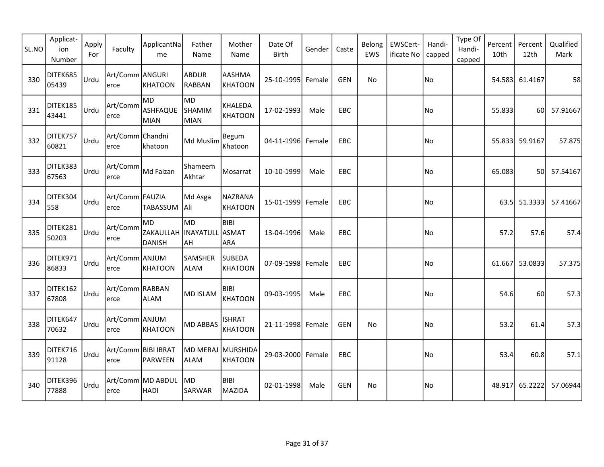| SL.NO | Applicat-<br>ion<br>Number | Apply<br>For | Faculty                      | ApplicantNa<br>me                   | Father<br>Name                   | Mother<br>Name                   | Date Of<br><b>Birth</b> | Gender | Caste      | Belong<br>EWS | EWSCert-<br>ificate No | Handi-<br>capped | Type Of<br>Handi-<br>capped | Percent<br>10th | Percent<br>12th | Qualified<br>Mark |
|-------|----------------------------|--------------|------------------------------|-------------------------------------|----------------------------------|----------------------------------|-------------------------|--------|------------|---------------|------------------------|------------------|-----------------------------|-----------------|-----------------|-------------------|
| 330   | DITEK685<br>05439          | Urdu         | Art/Comm ANGURI<br>lerce     | KHATOON                             | ABDUR<br>RABBAN                  | AASHMA<br><b>KHATOON</b>         | 25-10-1995 Female       |        | <b>GEN</b> | <b>No</b>     |                        | No               |                             |                 | 54.583 61.4167  | 58                |
| 331   | DITEK185<br>43441          | Urdu         | Art/Comm<br>lerce            | lmd<br>ASHFAQUE<br>MIAN             | MD<br><b>SHAMIM</b><br>MIAN      | KHALEDA<br><b>KHATOON</b>        | 17-02-1993              | Male   | <b>EBC</b> |               |                        | No               |                             | 55.833          | 60l             | 57.91667          |
| 332   | DITEK757<br>60821          | Urdu         | Art/Comm Chandni<br>lerce    | khatoon                             | Md Muslim                        | Begum<br>Khatoon                 | 04-11-1996 Female       |        | EBC        |               |                        | No               |                             |                 | 55.833 59.9167  | 57.875            |
| 333   | DITEK383<br>67563          | Urdu         | Art/Comm<br>erce             | Md Faizan                           | Shameem<br>Akhtar                | Mosarrat                         | 10-10-1999              | Male   | <b>EBC</b> |               |                        | No               |                             | 65.083          | 50              | 57.54167          |
| 334   | DITEK304<br>558            | Urdu         | Art/Comm FAUZIA<br>erce      | <b>TABASSUM</b>                     | Md Asga<br> Ali                  | <b>NAZRANA</b><br><b>KHATOON</b> | 15-01-1999 Female       |        | EBC        |               |                        | No)              |                             | 63.5l           | 51.3333         | 57.41667          |
| 335   | DITEK281<br>50203          | Urdu         | Art/Comm<br>erce             | MD<br>ZAKAULLAH INAYATULL<br>DANISH | MD)<br><b>AH</b>                 | <b>BIBI</b><br>ASMAT<br>ARA      | 13-04-1996              | Male   | <b>EBC</b> |               |                        | No)              |                             | 57.2            | 57.6            | 57.4              |
| 336   | DITEK971<br>86833          | Urdu         | Art/Comm ANJUM<br>erce       | KHATOON                             | <b>SAMSHER</b><br><b>ALAM</b>    | <b>SUBEDA</b><br><b>KHATOON</b>  | 07-09-1998 Female       |        | <b>EBC</b> |               |                        | No.              |                             |                 | 61.667 53.0833  | 57.375            |
| 337   | DITEK162<br>67808          | Urdu         | Art/Comm RABBAN<br>erce      | <b>ALAM</b>                         | MD ISLAM                         | <b>BIBI</b><br><b>KHATOON</b>    | 09-03-1995              | Male   | <b>EBC</b> |               |                        | No               |                             | 54.6            | 60              | 57.3              |
| 338   | DITEK647<br>70632          | Urdu         | Art/Comm ANJUM<br>lerce      | <b>KHATOON</b>                      | <b>MD ABBAS</b>                  | <b>ISHRAT</b><br><b>KHATOON</b>  | 21-11-1998 Female       |        | <b>GEN</b> | No            |                        | No               |                             | 53.2            | 61.4            | 57.3              |
| 339   | DITEK716<br>91128          | Urdu         | Art/Comm BIBI IBRAT<br>lerce | PARWEEN                             | MD MERAJ MURSHIDA<br><b>ALAM</b> | <b>KHATOON</b>                   | 29-03-2000 Female       |        | EBC        |               |                        | No               |                             | 53.4            | 60.8            | 57.1              |
| 340   | DITEK396<br>77888          | Urdu         | lerce                        | Art/Comm MD ABDUL<br>HADI           | MD <br><b>SARWAR</b>             | <b>BIBI</b><br><b>MAZIDA</b>     | 02-01-1998              | Male   | GEN        | No            |                        | No               |                             |                 | 48.917 65.2222  | 57.06944          |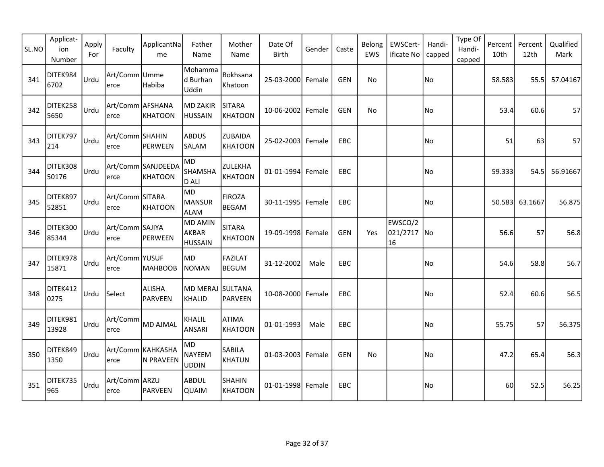| SL.NO | Applicat-<br>ion<br>Number | Apply<br>For | Faculty                   | ApplicantNa<br>me              | Father<br>Name                            | Mother<br>Name                   | Date Of<br><b>Birth</b> | Gender | Caste      | Belong<br>EWS | EWSCert-<br>ificate No       | Handi-<br>capped | Type Of<br>Handi-<br>capped | Percent<br>10th | Percent<br>12th | Qualified<br>Mark |
|-------|----------------------------|--------------|---------------------------|--------------------------------|-------------------------------------------|----------------------------------|-------------------------|--------|------------|---------------|------------------------------|------------------|-----------------------------|-----------------|-----------------|-------------------|
| 341   | DITEK984<br>6702           | Urdu         | Art/Comm Umme <br>lerce   | Habiba                         | Mohamma<br>d Burhan<br>Uddin              | Rokhsana<br>Khatoon              | 25-03-2000 Female       |        | <b>GEN</b> | No            |                              | No               |                             | 58.583          | 55.5            | 57.04167          |
| 342   | DITEK258<br>5650           | Urdu         | Art/Comm AFSHANA<br>lerce | KHATOON                        | MD ZAKIR<br><b>HUSSAIN</b>                | <b>SITARA</b><br><b>KHATOON</b>  | 10-06-2002 Female       |        | <b>GEN</b> | No            |                              | No               |                             | 53.4            | 60.6            | 57                |
| 343   | DITEK797<br>214            | Urdu         | Art/Comm SHAHIN<br>lerce  | PERWEEN                        | <b>ABDUS</b><br>SALAM                     | <b>ZUBAIDA</b><br><b>KHATOON</b> | 25-02-2003 Female       |        | EBC        |               |                              | No)              |                             | 51              | 63              | 57                |
| 344   | DITEK308<br>50176          | Urdu         | erce                      | Art/Comm SANJDEEDA<br>KHATOON  | MD<br><b>SHAMSHA</b><br>D ALI             | ZULEKHA<br><b>KHATOON</b>        | 01-01-1994 Female       |        | EBC        |               |                              | No               |                             | 59.333          | 54.5            | 56.91667          |
| 345   | DITEK897<br>52851          | Urdu         | Art/Comm SITARA<br>lerce  | KHATOON                        | MD<br>MANSUR<br>ALAM                      | <b>FIROZA</b><br><b>BEGAM</b>    | 30-11-1995 Female       |        | EBC        |               |                              | No               |                             | 50.583          | 63.1667         | 56.875            |
| 346   | DITEK300<br>85344          | Urdu         | Art/Comm SAJIYA<br>erce   | PERWEEN                        | <b>MD AMIN</b><br>AKBAR<br><b>HUSSAIN</b> | <b>SITARA</b><br><b>KHATOON</b>  | 19-09-1998 Female       |        | <b>GEN</b> | Yes           | EWSCO/2<br>021/2717 No<br>16 |                  |                             | 56.6            | 57              | 56.8              |
| 347   | DITEK978<br>15871          | Urdu         | Art/Comm YUSUF<br>erce    | <b>MAHBOOB</b>                 | MD.<br>NOMAN                              | <b>FAZILAT</b><br><b>BEGUM</b>   | 31-12-2002              | Male   | <b>EBC</b> |               |                              | No)              |                             | 54.6            | 58.8            | 56.7              |
| 348   | DITEK412<br>0275           | Urdu         | Select                    | <b>ALISHA</b><br>PARVEEN       | MD MERAJ SULTANA<br>KHALID                | PARVEEN                          | 10-08-2000 Female       |        | EBC        |               |                              | No.              |                             | 52.4            | 60.6            | 56.5              |
| 349   | DITEK981<br>13928          | Urdu         | Art/Comm<br>lerce         | MD AJMAL                       | KHALIL<br>ANSARI                          | <b>ATIMA</b><br><b>KHATOON</b>   | 01-01-1993              | Male   | EBC        |               |                              | No.              |                             | 55.75           | 57              | 56.375            |
| 350   | DITEK849<br>1350           | Urdu         | lerce                     | Art/Comm KAHKASHA<br>N PRAVEEN | MD<br>NAYEEM<br><b>UDDIN</b>              | SABILA<br><b>KHATUN</b>          | 01-03-2003 Female       |        | GEN        | No.           |                              | No)              |                             | 47.2            | 65.4            | 56.3              |
| 351   | DITEK735<br>965            | Urdu         | Art/Comm ARZU<br>lerce    | PARVEEN                        | ABDUL<br><b>QUAIM</b>                     | <b>SHAHIN</b><br><b>KHATOON</b>  | 01-01-1998 Female       |        | <b>EBC</b> |               |                              | No)              |                             | 60              | 52.5            | 56.25             |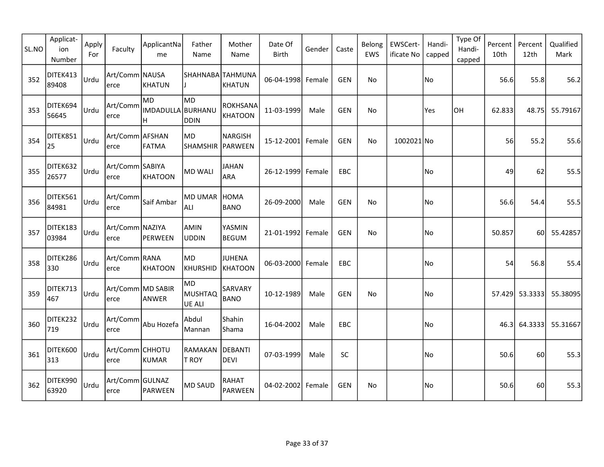| SL.NO | Applicat-<br>ion<br>Number | Apply<br>For | Faculty                   | ApplicantNa<br>me              | Father<br>Name                          | Mother<br>Name                    | Date Of<br>Birth  | Gender | Caste      | Belong<br>EWS | EWSCert-<br>ificate No | Handi-<br>capped | Type Of<br>Handi-<br>capped | Percent<br>10th | Percent<br>12th | Qualified<br>Mark |
|-------|----------------------------|--------------|---------------------------|--------------------------------|-----------------------------------------|-----------------------------------|-------------------|--------|------------|---------------|------------------------|------------------|-----------------------------|-----------------|-----------------|-------------------|
| 352   | DITEK413<br>89408          | <b>Urdu</b>  | Art/Comm NAUSA<br>lerce   | KHATUN                         | SHAHNABA TAHMUNA                        | <b>KHATUN</b>                     | 06-04-1998 Female |        | <b>GEN</b> | No            |                        | No)              |                             | 56.6            | 55.8            | 56.2              |
| 353   | DITEK694<br>56645          | <b>Urdu</b>  | Art/Comm<br>erce          | lmd.<br>IMDADULLA BURHANU<br>H | lMD.<br>DDIN                            | <b>ROKHSANA</b><br><b>KHATOON</b> | 11-03-1999        | Male   | <b>GEN</b> | No            |                        | Yes              | <b>OH</b>                   | 62.833          | 48.75           | 55.79167          |
| 354   | DITEK851<br>25             | Urdu         | Art/Comm AFSHAN<br>erce   | FATMA                          | <b>MD</b><br>SHAMSHIR PARWEEN           | <b>NARGISH</b>                    | 15-12-2001 Female |        | <b>GEN</b> | No            | 1002021 No             |                  |                             | 56              | 55.2            | 55.6              |
| 355   | DITEK632<br>26577          | Urdu         | Art/Comm SABIYA<br>erce   | KHATOON                        | MD WALI                                 | JAHAN<br>ARA                      | 26-12-1999 Female |        | EBC        |               |                        | No               |                             | 49              | 62              | 55.5              |
| 356   | DITEK561<br>84981          | Urdu         | Art/Comm<br>erce          | Saif Ambar                     | <b>MD UMAR</b><br>ALI                   | <b>HOMA</b><br><b>BANO</b>        | 26-09-2000        | Male   | <b>GEN</b> | No            |                        | No)              |                             | 56.6            | 54.4            | 55.5              |
| 357   | DITEK183<br>03984          | <b>Urdu</b>  | Art/Comm NAZIYA<br>erce   | PERWEEN                        | AMIN<br><b>UDDIN</b>                    | YASMIN<br><b>BEGUM</b>            | 21-01-1992 Female |        | <b>GEN</b> | <b>No</b>     |                        | No               |                             | 50.857          | 60              | 55.42857          |
| 358   | DITEK286<br>330            | <b>Urdu</b>  | Art/Comm RANA<br>erce     | KHATOON                        | MD<br>KHURSHID                          | <b>JUHENA</b><br>KHATOON          | 06-03-2000 Female |        | EBC        |               |                        | No               |                             | 54              | 56.8            | 55.4              |
| 359   | DITEK713<br>467            | Urdu         | Art/Comm MD SABIR<br>erce | ANWER                          | lMD.<br><b>MUSHTAQ</b><br><b>UE ALI</b> | SARVARY<br><b>BANO</b>            | 10-12-1989        | Male   | <b>GEN</b> | <b>No</b>     |                        | No               |                             |                 | 57.429 53.3333  | 55.38095          |
| 360   | DITEK232<br>719            | <b>Urdu</b>  | Art/Comm<br>erce          | Abu Hozefa                     | Abdul<br>Mannan                         | Shahin<br>Shama                   | 16-04-2002        | Male   | EBC        |               |                        | No               |                             |                 | 46.3 64.3333    | 55.31667          |
| 361   | DITEK600<br>313            | Urdu         | Art/Comm CHHOTU<br>erce   | KUMAR                          | RAMAKAN<br><b>T ROY</b>                 | DEBANTI<br><b>DEVI</b>            | 07-03-1999        | Male   | <b>SC</b>  |               |                        | No.              |                             | 50.6            | 60l             | 55.3              |
| 362   | DITEK990<br>63920          | <b>Urdu</b>  | Art/Comm GULNAZ<br>erce   | PARWEEN                        | <b>MD SAUD</b>                          | <b>RAHAT</b><br><b>PARWEEN</b>    | 04-02-2002 Female |        | <b>GEN</b> | No            |                        | No               |                             | 50.6            | 60              | 55.3              |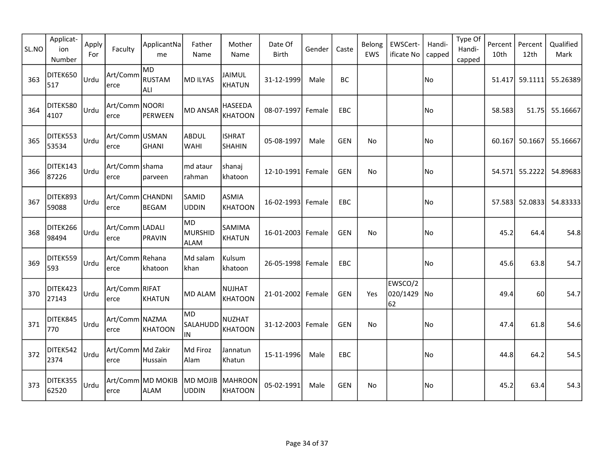| SL.NO | Applicat-<br>ion<br>Number | Apply<br>For | Faculty                    | ApplicantNa<br>me                | Father<br>Name                | Mother<br>Name                  | Date Of<br>Birth  | Gender | Caste      | Belong<br>EWS | EWSCert-<br>ificate No       | Handi-<br>capped | Type Of<br>Handi-<br>capped | Percent<br>10th | Percent<br>12th | Qualified<br>Mark |
|-------|----------------------------|--------------|----------------------------|----------------------------------|-------------------------------|---------------------------------|-------------------|--------|------------|---------------|------------------------------|------------------|-----------------------------|-----------------|-----------------|-------------------|
| 363   | DITEK650<br>517            | Urdu         | Art/Comm<br>lerce          | MD<br>RUSTAM<br>ALI              | MD ILYAS                      | <b>JAIMUL</b><br><b>KHATUN</b>  | 31-12-1999        | Male   | <b>BC</b>  |               |                              | No               |                             |                 | 51.417 59.1111  | 55.26389          |
| 364   | DITEK580<br>4107           | Urdu         | Art/Comm NOORI<br>lerce    | PERWEEN                          | MD ANSAR                      | HASEEDA<br><b>KHATOON</b>       | 08-07-1997 Female |        | EBC        |               |                              | No               |                             | 58.583          | 51.75           | 55.16667          |
| 365   | DITEK553<br>53534          | Urdu         | Art/Comm USMAN <br>erce    | GHANI                            | ABDUL <br> WAHI               | <b>ISHRAT</b><br><b>SHAHIN</b>  | 05-08-1997        | Male   | <b>GEN</b> | No            |                              | No)              |                             |                 | 60.167 50.1667  | 55.16667          |
| 366   | DITEK143<br>87226          | Urdu         | Art/Comm shama<br>erce     | parveen                          | md ataur<br> rahman           | shanaj<br>khatoon               | 12-10-1991 Female |        | <b>GEN</b> | No            |                              | No               |                             |                 | 54.571 55.2222  | 54.89683          |
| 367   | DITEK893<br>59088          | Urdu         | Art/Comm CHANDNI<br>erce   | BEGAM                            | <b>SAMID</b><br>UDDIN         | <b>ASMIA</b><br><b>KHATOON</b>  | 16-02-1993 Female |        | <b>EBC</b> |               |                              | No)              |                             |                 | 57.583 52.0833  | 54.83333          |
| 368   | DITEK266<br>98494          | Urdu         | Art/Comm LADALI<br>erce    | PRAVIN                           | MD)<br>MURSHID<br><b>ALAM</b> | SAMIMA<br><b>KHATUN</b>         | 16-01-2003 Female |        | <b>GEN</b> | No            |                              | No.              |                             | 45.2            | 64.4            | 54.8              |
| 369   | DITEK559<br>593            | Urdu         | Art/Comm Rehana<br>erce    | khatoon                          | Md salam<br> khan             | Kulsum<br>khatoon               | 26-05-1998 Female |        | EBC        |               |                              | No               |                             | 45.6            | 63.8            | 54.7              |
| 370   | DITEK423<br>27143          | Urdu         | Art/Comm RIFAT <br>erce    | KHATUN                           | MD ALAM                       | <b>NUJHAT</b><br><b>KHATOON</b> | 21-01-2002 Female |        | <b>GEN</b> | Yes           | EWSCO/2<br>020/1429 No<br>62 |                  |                             | 49.4            | 60              | 54.7              |
| 371   | DITEK845<br>770            | Urdu         | Art/Comm NAZMA<br>lerce    | KHATOON                          | lmd.<br>SALAHUDD<br>IN.       | <b>NUZHAT</b><br><b>KHATOON</b> | 31-12-2003 Female |        | <b>GEN</b> | No            |                              | No               |                             | 47.4            | 61.8            | 54.6              |
| 372   | DITEK542<br>2374           | Urdu         | Art/Comm Md Zakir<br>lerce | Hussain                          | Md Firoz<br>Alam              | Jannatun<br>Khatun              | 15-11-1996        | Male   | EBC        |               |                              | No               |                             | 44.8            | 64.2            | 54.5              |
| 373   | DITEK355<br>62520          | Urdu         | lerce                      | Art/Comm MD MOKIB<br><b>ALAM</b> | MD MOJIB<br>UDDIN             | MAHROON<br><b>KHATOON</b>       | 05-02-1991        | Male   | <b>GEN</b> | No            |                              | No               |                             | 45.2            | 63.4            | 54.3              |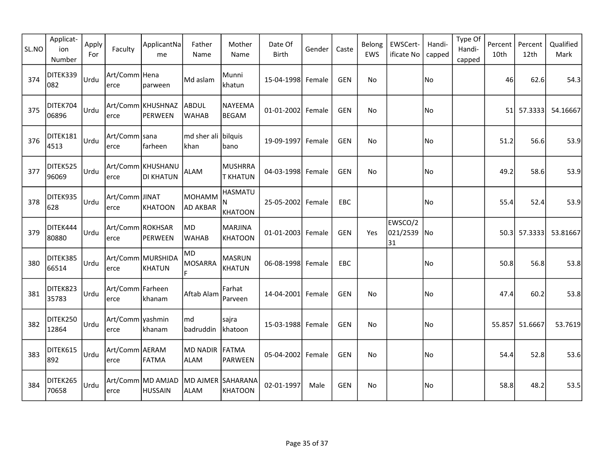| SL.NO | Applicat-<br>ion<br>Number | Apply<br>For | Faculty                    | ApplicantNa<br>me                   | Father<br>Name                   | Mother<br>Name                        | Date Of<br><b>Birth</b> | Gender | Caste      | Belong<br>EWS | EWSCert-<br>ificate No       | Handi-<br>capped | Type Of<br>Handi-<br>capped | Percent<br>10th | Percent<br>12th | Qualified<br>Mark |
|-------|----------------------------|--------------|----------------------------|-------------------------------------|----------------------------------|---------------------------------------|-------------------------|--------|------------|---------------|------------------------------|------------------|-----------------------------|-----------------|-----------------|-------------------|
| 374   | DITEK339<br>082            | Urdu         | Art/Comm   Hena<br>lerce   | parween                             | Md aslam                         | Munni<br>khatun                       | 15-04-1998 Female       |        | <b>GEN</b> | <b>No</b>     |                              | No               |                             | 46              | 62.6            | 54.3              |
| 375   | DITEK704<br>06896          | Urdu         | lerce                      | Art/Comm KHUSHNAZ<br>PERWEEN        | <b>ABDUL</b><br><b>WAHAB</b>     | NAYEEMA<br><b>BEGAM</b>               | 01-01-2002 Female       |        | <b>GEN</b> | No            |                              | No               |                             | 51              | 57.3333         | 54.16667          |
| 376   | DITEK181<br>4513           | Urdu         | Art/Comm sana<br>lerce     | farheen                             | md sher ali bilquis<br>khan      | bano                                  | 19-09-1997 Female       |        | <b>GEN</b> | No            |                              | No               |                             | 51.2            | 56.6            | 53.9              |
| 377   | DITEK525<br>96069          | Urdu         | erce                       | Art/Comm KHUSHANU<br>DI KHATUN      | <b>ALAM</b>                      | <b>MUSHRRA</b><br><b>T KHATUN</b>     | 04-03-1998 Female       |        | <b>GEN</b> | No            |                              | No               |                             | 49.2            | 58.6            | 53.9              |
| 378   | DITEK935<br>628            | Urdu         | Art/Comm JINAT<br>erce     | KHATOON                             | монамм<br><b>AD AKBAR</b>        | <b>HASMATU</b><br>N<br><b>KHATOON</b> | 25-05-2002 Female       |        | EBC        |               |                              | No)              |                             | 55.4            | 52.4            | 53.9              |
| 379   | DITEK444<br>80880          | Urdu         | Art/Comm ROKHSAR<br>erce   | PERWEEN                             | MD<br><b>WAHAB</b>               | <b>MARJINA</b><br><b>KHATOON</b>      | 01-01-2003 Female       |        | <b>GEN</b> | Yes           | EWSCO/2<br>021/2539 No<br>31 |                  |                             |                 | 50.3 57.3333    | 53.81667          |
| 380   | DITEK385<br>66514          | Urdu         | erce                       | Art/Comm MURSHIDA<br>KHATUN         | MD.<br>MOSARRA<br>F.             | <b>MASRUN</b><br><b>KHATUN</b>        | 06-08-1998 Female       |        | EBC        |               |                              | No.              |                             | 50.8            | 56.8            | 53.8              |
| 381   | DITEK823<br>35783          | Urdu         | Art/Comm   Farheen<br>erce | khanam                              | Aftab Alam                       | Farhat<br>Parveen                     | 14-04-2001 Female       |        | <b>GEN</b> | No            |                              | No               |                             | 47.4            | 60.2            | 53.8              |
| 382   | DITEK250<br>12864          | Urdu         | Art/Comm yashmin <br>lerce | khanam                              | md<br>badruddin                  | sajra<br>khatoon                      | 15-03-1988 Female       |        | <b>GEN</b> | No            |                              | No               |                             |                 | 55.857 51.6667  | 53.7619           |
| 383   | DITEK615<br>892            | Urdu         | Art/Comm AERAM<br>lerce    | FATMA                               | MD NADIR<br><b>ALAM</b>          | FATMA<br>PARWEEN                      | 05-04-2002 Female       |        | <b>GEN</b> | <b>No</b>     |                              | No               |                             | 54.4            | 52.8            | 53.6              |
| 384   | DITEK265<br>70658          | Urdu         | lerce                      | Art/Comm MD AMJAD<br><b>HUSSAIN</b> | MD AJMER SAHARANA<br><b>ALAM</b> | <b>KHATOON</b>                        | 02-01-1997              | Male   | <b>GEN</b> | No            |                              | No               |                             | 58.8            | 48.2            | 53.5              |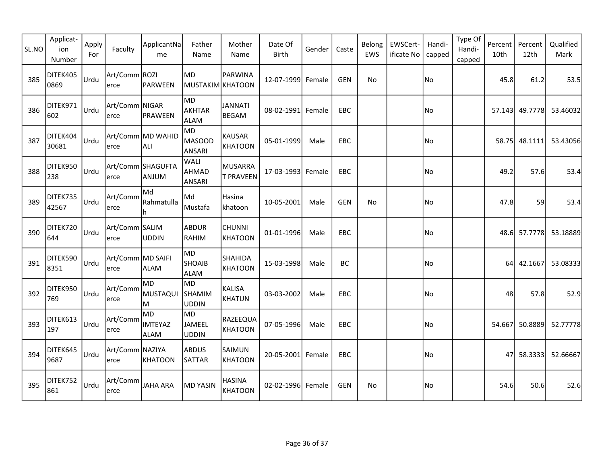| SL.NO | Applicat-<br>ion<br>Number | Apply<br>For | Faculty                   | ApplicantNa<br>me                    | Father<br>Name                       | Mother<br>Name                     | Date Of<br><b>Birth</b> | Gender | Caste      | Belong<br>EWS | EWSCert-<br>ificate No | Handi-<br>capped | Type Of<br>Handi-<br>capped | Percent<br>10th | Percent<br>12th | Qualified<br>Mark |
|-------|----------------------------|--------------|---------------------------|--------------------------------------|--------------------------------------|------------------------------------|-------------------------|--------|------------|---------------|------------------------|------------------|-----------------------------|-----------------|-----------------|-------------------|
| 385   | DITEK405<br>0869           | <b>Urdu</b>  | Art/Comm ROZI<br>erce     | PARWEEN                              | <b>MD</b><br>MUSTAKIM KHATOON        | <b>PARWINA</b>                     | 12-07-1999 Female       |        | <b>GEN</b> | No            |                        | No               |                             | 45.8            | 61.2            | 53.5              |
| 386   | DITEK971<br>602            | <b>Urdu</b>  | Art/Comm NIGAR<br>erce    | PRAWEEN                              | lMD.<br><b>AKHTAR</b><br><b>ALAM</b> | <b>JANNATI</b><br><b>BEGAM</b>     | 08-02-1991 Female       |        | EBC        |               |                        | No               |                             |                 | 57.143 49.7778  | 53.46032          |
| 387   | DITEK404<br>30681          | <b>Urdu</b>  | erce                      | Art/Comm MD WAHID<br>ALI             | <b>MD</b><br>MASOOD<br><b>ANSARI</b> | <b>KAUSAR</b><br><b>KHATOON</b>    | 05-01-1999              | Male   | <b>EBC</b> |               |                        | No               |                             | 58.75           | 48.1111         | 53.43056          |
| 388   | DITEK950<br>238            | <b>Urdu</b>  | erce                      | Art/Comm SHAGUFTA<br>ANJUM           | WALI<br>AHMAD<br><b>ANSARI</b>       | <b>MUSARRA</b><br><b>T PRAVEEN</b> | 17-03-1993 Female       |        | EBC        |               |                        | No               |                             | 49.2            | 57.6            | 53.4              |
| 389   | DITEK735<br>42567          | Urdu         | Art/Comm<br>erce          | Md<br>Rahmatulla<br>h.               | Md<br>Mustafa                        | Hasina<br>khatoon                  | 10-05-2001              | Male   | <b>GEN</b> | <b>No</b>     |                        | No               |                             | 47.8            | 59              | 53.4              |
| 390   | DITEK720<br>644            | <b>Urdu</b>  | Art/Comm SALIM<br>erce    | UDDIN                                | <b>ABDUR</b><br>RAHIM                | <b>CHUNNI</b><br><b>KHATOON</b>    | 01-01-1996              | Male   | EBC.       |               |                        | No               |                             |                 | 48.6 57.7778    | 53.18889          |
| 391   | DITEK590<br>8351           | <b>Urdu</b>  | Art/Comm MD SAIFI<br>erce | <b>ALAM</b>                          | MD<br><b>SHOAIB</b><br><b>ALAM</b>   | <b>SHAHIDA</b><br><b>KHATOON</b>   | 15-03-1998              | Male   | BC         |               |                        | No               |                             | 64 l            | 42.1667         | 53.08333          |
| 392   | DITEK950<br>769            | Urdu         | Art/Comm<br>erce          | MD.<br>MUSTAQUI<br>M                 | MD<br><b>SHAMIM</b><br><b>UDDIN</b>  | <b>KALISA</b><br><b>KHATUN</b>     | 03-03-2002              | Male   | <b>EBC</b> |               |                        | No               |                             | 48              | 57.8            | 52.9              |
| 393   | DITEK613<br>197            | Urdu         | Art/Comm<br>erce          | MD)<br><b>IMTEYAZ</b><br><b>ALAM</b> | MD<br><b>JAMEEL</b><br><b>UDDIN</b>  | RAZEEQUA<br><b>KHATOON</b>         | 07-05-1996              | Male   | EBC        |               |                        | No               |                             |                 | 54.667 50.8889  | 52.77778          |
| 394   | DITEK645<br>9687           | <b>Urdu</b>  | Art/Comm NAZIYA<br>erce   | KHATOON                              | ABDUS<br><b>SATTAR</b>               | SAIMUN<br><b>KHATOON</b>           | 20-05-2001 Female       |        | EBC        |               |                        | No               |                             |                 | 47 58.3333      | 52.66667          |
| 395   | DITEK752<br>861            | <b>Urdu</b>  | Art/Comm<br>erce          | JAHA ARA                             | MD YASIN                             | <b>HASINA</b><br><b>KHATOON</b>    | 02-02-1996 Female       |        | <b>GEN</b> | No            |                        | No               |                             | 54.6            | 50.6            | 52.6              |